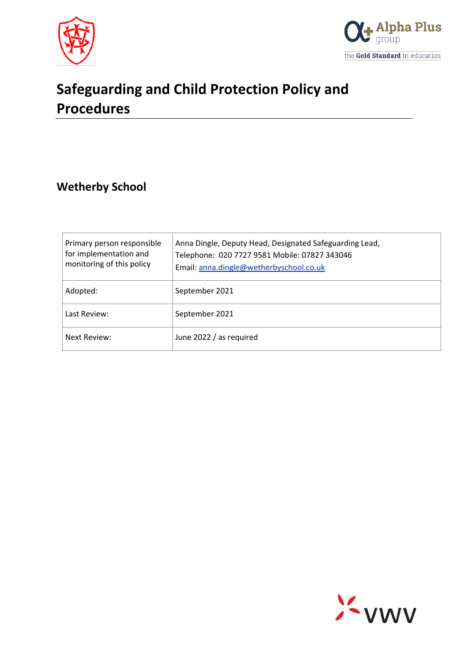



# **Safeguarding and Child Protection Policy and Procedures**

## **Wetherby School**

| Primary person responsible<br>for implementation and<br>monitoring of this policy | Anna Dingle, Deputy Head, Designated Safeguarding Lead,<br>Telephone: 020 7727 9581 Mobile: 07827 343046<br>Email: anna.dingle@wetherbyschool.co.uk |
|-----------------------------------------------------------------------------------|-----------------------------------------------------------------------------------------------------------------------------------------------------|
| Adopted:                                                                          | September 2021                                                                                                                                      |
| Last Review:                                                                      | September 2021                                                                                                                                      |
| Next Review:                                                                      | June 2022 / as required                                                                                                                             |

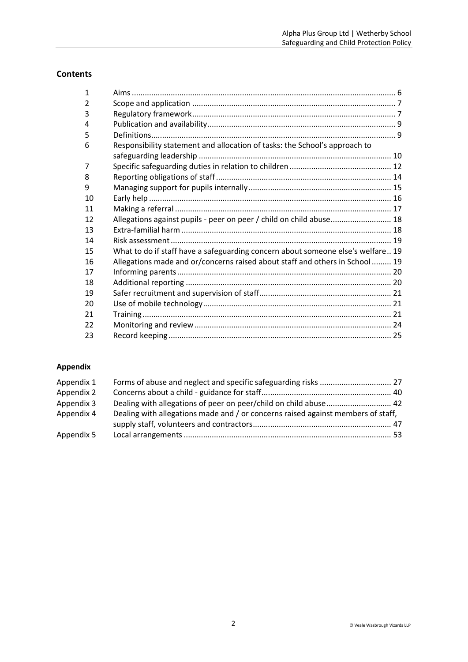## **Contents**

| 1  |                                                                                 |  |
|----|---------------------------------------------------------------------------------|--|
| 2  |                                                                                 |  |
| 3  |                                                                                 |  |
| 4  |                                                                                 |  |
| 5  |                                                                                 |  |
| 6  | Responsibility statement and allocation of tasks: the School's approach to      |  |
|    |                                                                                 |  |
| 7  |                                                                                 |  |
| 8  |                                                                                 |  |
| 9  |                                                                                 |  |
| 10 |                                                                                 |  |
| 11 |                                                                                 |  |
| 12 | Allegations against pupils - peer on peer / child on child abuse 18             |  |
| 13 |                                                                                 |  |
| 14 |                                                                                 |  |
| 15 | What to do if staff have a safeguarding concern about someone else's welfare 19 |  |
| 16 | Allegations made and or/concerns raised about staff and others in School 19     |  |
| 17 |                                                                                 |  |
| 18 |                                                                                 |  |
| 19 |                                                                                 |  |
| 20 |                                                                                 |  |
| 21 |                                                                                 |  |
| 22 |                                                                                 |  |
| 23 |                                                                                 |  |

## **Appendix**

| Appendix 1 |                                                                                  |  |
|------------|----------------------------------------------------------------------------------|--|
| Appendix 2 |                                                                                  |  |
| Appendix 3 | Dealing with allegations of peer on peer/child on child abuse 42                 |  |
| Appendix 4 | Dealing with allegations made and / or concerns raised against members of staff, |  |
|            |                                                                                  |  |
| Appendix 5 |                                                                                  |  |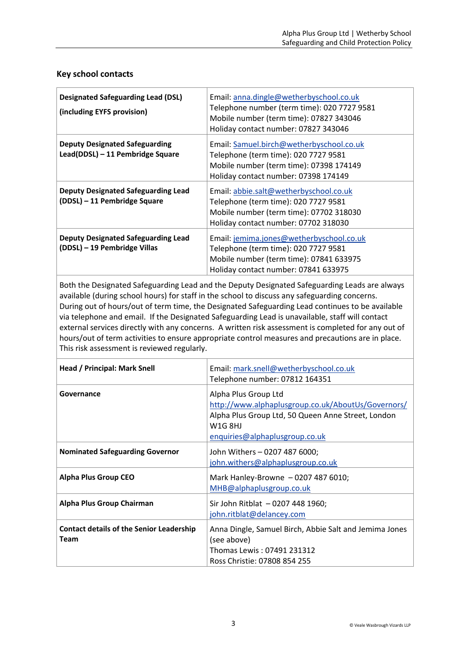## **Key school contacts**

| <b>Designated Safeguarding Lead (DSL)</b><br>(including EYFS provision)    | Email: anna.dingle@wetherbyschool.co.uk<br>Telephone number (term time): 020 7727 9581<br>Mobile number (term time): 07827 343046<br>Holiday contact number: 07827 343046 |
|----------------------------------------------------------------------------|---------------------------------------------------------------------------------------------------------------------------------------------------------------------------|
| <b>Deputy Designated Safeguarding</b><br>Lead(DDSL) - 11 Pembridge Square  | Email: Samuel.birch@wetherbyschool.co.uk<br>Telephone (term time): 020 7727 9581<br>Mobile number (term time): 07398 174149<br>Holiday contact number: 07398 174149       |
| <b>Deputy Designated Safeguarding Lead</b><br>(DDSL) - 11 Pembridge Square | Email: abbie.salt@wetherbyschool.co.uk<br>Telephone (term time): 020 7727 9581<br>Mobile number (term time): 07702 318030<br>Holiday contact number: 07702 318030         |
| <b>Deputy Designated Safeguarding Lead</b><br>(DDSL) – 19 Pembridge Villas | Email: jemima.jones@wetherbyschool.co.uk<br>Telephone (term time): 020 7727 9581<br>Mobile number (term time): 07841 633975<br>Holiday contact number: 07841 633975       |

Both the Designated Safeguarding Lead and the Deputy Designated Safeguarding Leads are always available (during school hours) for staff in the school to discuss any safeguarding concerns. During out of hours/out of term time, the Designated Safeguarding Lead continues to be available via telephone and email. If the Designated Safeguarding Lead is unavailable, staff will contact external services directly with any concerns. A written risk assessment is completed for any out of hours/out of term activities to ensure appropriate control measures and precautions are in place. This risk assessment is reviewed regularly.

| <b>Head / Principal: Mark Snell</b>                     | Email: mark.snell@wetherbyschool.co.uk<br>Telephone number: 07812 164351                                                                                                             |
|---------------------------------------------------------|--------------------------------------------------------------------------------------------------------------------------------------------------------------------------------------|
| Governance                                              | Alpha Plus Group Ltd<br>http://www.alphaplusgroup.co.uk/AboutUs/Governors/<br>Alpha Plus Group Ltd, 50 Queen Anne Street, London<br><b>W1G 8HJ</b><br>enquiries@alphaplusgroup.co.uk |
| <b>Nominated Safeguarding Governor</b>                  | John Withers - 0207 487 6000;<br>john.withers@alphaplusgroup.co.uk                                                                                                                   |
| <b>Alpha Plus Group CEO</b>                             | Mark Hanley-Browne - 0207 487 6010;<br>MHB@alphaplusgroup.co.uk                                                                                                                      |
| Alpha Plus Group Chairman                               | Sir John Ritblat - 0207 448 1960;<br>john.ritblat@delancey.com                                                                                                                       |
| <b>Contact details of the Senior Leadership</b><br>Team | Anna Dingle, Samuel Birch, Abbie Salt and Jemima Jones<br>(see above)<br>Thomas Lewis: 07491 231312<br>Ross Christie: 07808 854 255                                                  |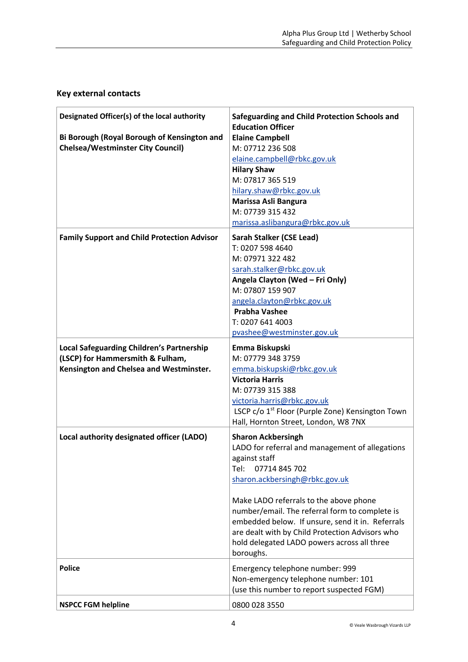## **Key external contacts**

| Designated Officer(s) of the local authority       | Safeguarding and Child Protection Schools and<br><b>Education Officer</b>                   |
|----------------------------------------------------|---------------------------------------------------------------------------------------------|
| Bi Borough (Royal Borough of Kensington and        | <b>Elaine Campbell</b>                                                                      |
| <b>Chelsea/Westminster City Council)</b>           | M: 07712 236 508                                                                            |
|                                                    | elaine.campbell@rbkc.gov.uk                                                                 |
|                                                    | <b>Hilary Shaw</b>                                                                          |
|                                                    | M: 07817 365 519                                                                            |
|                                                    | hilary.shaw@rbkc.gov.uk<br>Marissa Asli Bangura                                             |
|                                                    | M: 07739 315 432                                                                            |
|                                                    | marissa.aslibangura@rbkc.gov.uk                                                             |
|                                                    |                                                                                             |
| <b>Family Support and Child Protection Advisor</b> | <b>Sarah Stalker (CSE Lead)</b><br>T: 0207 598 4640                                         |
|                                                    | M: 07971 322 482                                                                            |
|                                                    | sarah.stalker@rbkc.gov.uk                                                                   |
|                                                    | Angela Clayton (Wed - Fri Only)                                                             |
|                                                    | M: 07807 159 907                                                                            |
|                                                    | angela.clayton@rbkc.gov.uk                                                                  |
|                                                    | <b>Prabha Vashee</b>                                                                        |
|                                                    | T: 0207 641 4003                                                                            |
|                                                    | pvashee@westminster.gov.uk                                                                  |
| <b>Local Safeguarding Children's Partnership</b>   | Emma Biskupski                                                                              |
| (LSCP) for Hammersmith & Fulham,                   | M: 07779 348 3759                                                                           |
| Kensington and Chelsea and Westminster.            | emma.biskupski@rbkc.gov.uk                                                                  |
|                                                    | <b>Victoria Harris</b>                                                                      |
|                                                    | M: 07739 315 388                                                                            |
|                                                    | victoria.harris@rbkc.gov.uk<br>LSCP c/o 1 <sup>st</sup> Floor (Purple Zone) Kensington Town |
|                                                    | Hall, Hornton Street, London, W8 7NX                                                        |
|                                                    |                                                                                             |
| Local authority designated officer (LADO)          | <b>Sharon Ackbersingh</b>                                                                   |
|                                                    | LADO for referral and management of allegations<br>against staff                            |
|                                                    | Tel: 07714 845 702                                                                          |
|                                                    | sharon.ackbersingh@rbkc.gov.uk                                                              |
|                                                    |                                                                                             |
|                                                    | Make LADO referrals to the above phone                                                      |
|                                                    | number/email. The referral form to complete is                                              |
|                                                    | embedded below. If unsure, send it in. Referrals                                            |
|                                                    | are dealt with by Child Protection Advisors who                                             |
|                                                    | hold delegated LADO powers across all three                                                 |
|                                                    | boroughs.                                                                                   |
| <b>Police</b>                                      | Emergency telephone number: 999                                                             |
|                                                    | Non-emergency telephone number: 101                                                         |
|                                                    | (use this number to report suspected FGM)                                                   |
| <b>NSPCC FGM helpline</b>                          | 0800 028 3550                                                                               |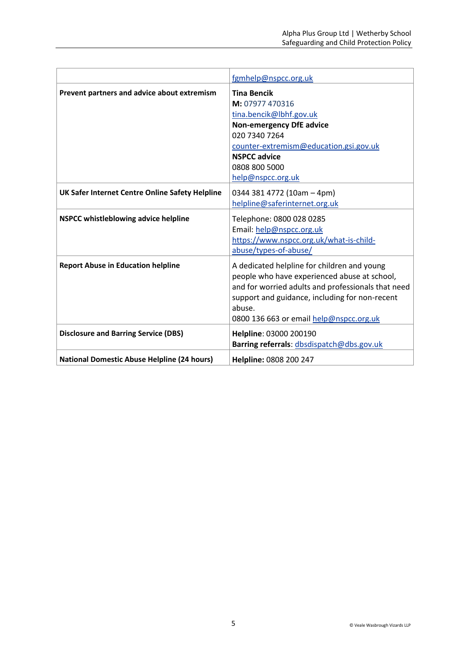|                                                    | fgmhelp@nspcc.org.uk                                                                                                                                                                                                                                     |
|----------------------------------------------------|----------------------------------------------------------------------------------------------------------------------------------------------------------------------------------------------------------------------------------------------------------|
| Prevent partners and advice about extremism        | <b>Tina Bencik</b><br>M: 07977 470316<br>tina.bencik@lbhf.gov.uk<br><b>Non-emergency DfE advice</b><br>020 7340 7264<br>counter-extremism@education.gsi.gov.uk<br><b>NSPCC advice</b><br>0808 800 5000<br>help@nspcc.org.uk                              |
| UK Safer Internet Centre Online Safety Helpline    | 0344 381 4772 (10am - 4pm)<br>helpline@saferinternet.org.uk                                                                                                                                                                                              |
| <b>NSPCC whistleblowing advice helpline</b>        | Telephone: 0800 028 0285<br>Email: help@nspcc.org.uk<br>https://www.nspcc.org.uk/what-is-child-<br>abuse/types-of-abuse/                                                                                                                                 |
| <b>Report Abuse in Education helpline</b>          | A dedicated helpline for children and young<br>people who have experienced abuse at school,<br>and for worried adults and professionals that need<br>support and guidance, including for non-recent<br>abuse.<br>0800 136 663 or email help@nspcc.org.uk |
| <b>Disclosure and Barring Service (DBS)</b>        | Helpline: 03000 200190<br>Barring referrals: dbsdispatch@dbs.gov.uk                                                                                                                                                                                      |
| <b>National Domestic Abuse Helpline (24 hours)</b> | Helpline: 0808 200 247                                                                                                                                                                                                                                   |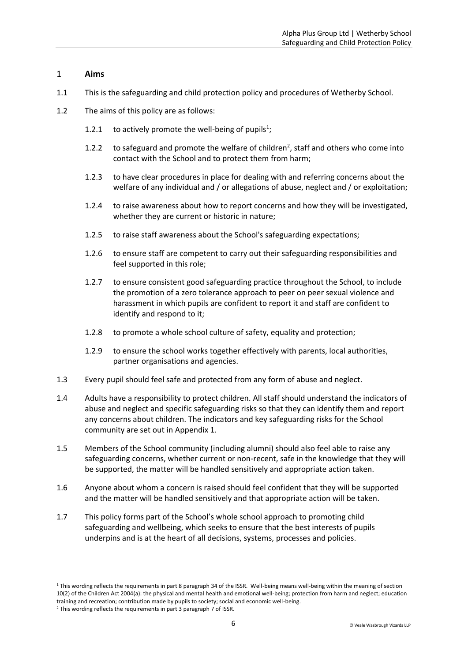## <span id="page-5-0"></span>1 **Aims**

- 1.1 This is the safeguarding and child protection policy and procedures of Wetherby School.
- 1.2 The aims of this policy are as follows:
	- 1.2.1 to actively promote the well-being of pupils<sup>1</sup>;
	- 1.2.2 to safeguard and promote the welfare of children<sup>2</sup>, staff and others who come into contact with the School and to protect them from harm;
	- 1.2.3 to have clear procedures in place for dealing with and referring concerns about the welfare of any individual and / or allegations of abuse, neglect and / or exploitation;
	- 1.2.4 to raise awareness about how to report concerns and how they will be investigated, whether they are current or historic in nature;
	- 1.2.5 to raise staff awareness about the School's safeguarding expectations;
	- 1.2.6 to ensure staff are competent to carry out their safeguarding responsibilities and feel supported in this role;
	- 1.2.7 to ensure consistent good safeguarding practice throughout the School, to include the promotion of a zero tolerance approach to peer on peer sexual violence and harassment in which pupils are confident to report it and staff are confident to identify and respond to it;
	- 1.2.8 to promote a whole school culture of safety, equality and protection;
	- 1.2.9 to ensure the school works together effectively with parents, local authorities, partner organisations and agencies.
- 1.3 Every pupil should feel safe and protected from any form of abuse and neglect.
- 1.4 Adults have a responsibility to protect children. All staff should understand the indicators of abuse and neglect and specific safeguarding risks so that they can identify them and report any concerns about children. The indicators and key safeguarding risks for the School community are set out in [Appendix 1.](#page-26-1)
- 1.5 Members of the School community (including alumni) should also feel able to raise any safeguarding concerns, whether current or non-recent, safe in the knowledge that they will be supported, the matter will be handled sensitively and appropriate action taken.
- 1.6 Anyone about whom a concern is raised should feel confident that they will be supported and the matter will be handled sensitively and that appropriate action will be taken.
- 1.7 This policy forms part of the School's whole school approach to promoting child safeguarding and wellbeing, which seeks to ensure that the best interests of pupils underpins and is at the heart of all decisions, systems, processes and policies.

<sup>&</sup>lt;sup>1</sup> This wording reflects the requirements in part 8 paragraph 34 of the ISSR. Well-being means well-being within the meaning of section 10(2) of the Children Act 2004(a): the physical and mental health and emotional well-being; protection from harm and neglect; education training and recreation; contribution made by pupils to society; social and economic well-being.

<sup>&</sup>lt;sup>2</sup> This wording reflects the requirements in part 3 paragraph 7 of ISSR.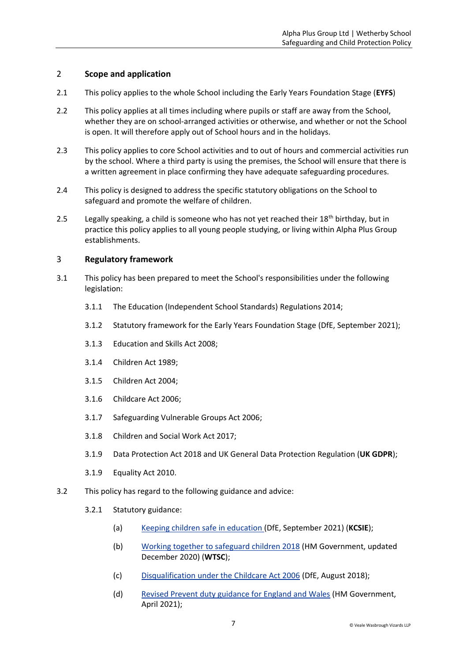## <span id="page-6-0"></span>2 **Scope and application**

- 2.1 This policy applies to the whole School including the Early Years Foundation Stage (**EYFS**)
- 2.2 This policy applies at all times including where pupils or staff are away from the School, whether they are on school-arranged activities or otherwise, and whether or not the School is open. It will therefore apply out of School hours and in the holidays.
- 2.3 This policy applies to core School activities and to out of hours and commercial activities run by the school. Where a third party is using the premises, the School will ensure that there is a written agreement in place confirming they have adequate safeguarding procedures.
- 2.4 This policy is designed to address the specific statutory obligations on the School to safeguard and promote the welfare of children.
- 2.5 Legally speaking, a child is someone who has not yet reached their  $18<sup>th</sup>$  birthday, but in practice this policy applies to all young people studying, or living within Alpha Plus Group establishments.

#### <span id="page-6-1"></span>3 **Regulatory framework**

- 3.1 This policy has been prepared to meet the School's responsibilities under the following legislation:
	- 3.1.1 The Education (Independent School Standards) Regulations 2014;
	- 3.1.2 Statutory framework for the Early Years Foundation Stage (DfE, September 2021);
	- 3.1.3 Education and Skills Act 2008;
	- 3.1.4 Children Act 1989;
	- 3.1.5 Children Act 2004;
	- 3.1.6 Childcare Act 2006;
	- 3.1.7 Safeguarding Vulnerable Groups Act 2006;
	- 3.1.8 Children and Social Work Act 2017;
	- 3.1.9 Data Protection Act 2018 and UK General Data Protection Regulation (**UK GDPR**);
	- 3.1.9 Equality Act 2010.
- 3.2 This policy has regard to the following guidance and advice:
	- 3.2.1 Statutory guidance:
		- (a) [Keeping children safe in education \(](https://www.gov.uk/government/publications/keeping-children-safe-in-education--2)DfE, September 2021) (**KCSIE**);
		- (b) [Working together to safeguard children 2018](https://www.gov.uk/government/publications/working-together-to-safeguard-children--2) (HM Government, updated December 2020) (**WTSC**);
		- (c) [Disqualification under the Childcare Act 2006](https://www.gov.uk/government/publications/disqualification-under-the-childcare-act-2006/disqualification-under-the-childcare-act-2006) (DfE, August 2018);
		- (d) [Revised Prevent duty guidance for England and Wales](https://www.gov.uk/government/publications/prevent-duty-guidance/revised-prevent-duty-guidance-for-england-and-wales) (HM Government, April 2021);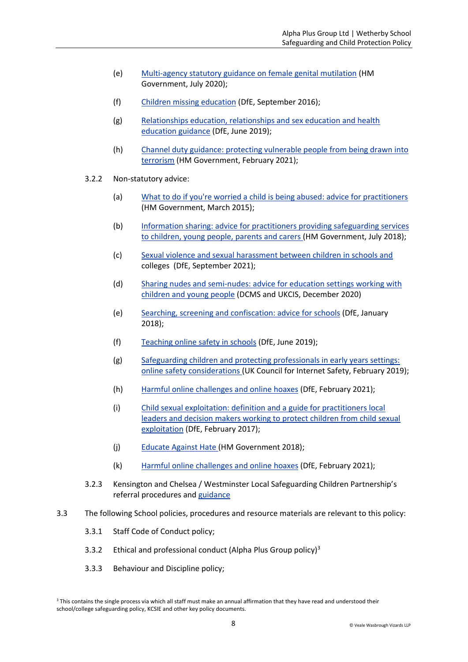- (e) [Multi-agency statutory guidance on female genital mutilation](https://www.gov.uk/government/publications/multi-agency-statutory-guidance-on-female-genital-mutilation) (HM Government, July 2020);
- (f) [Children missing education](https://www.gov.uk/government/publications/children-missing-education) (DfE, September 2016);
- (g) [Relationships education, relationships and sex education and health](https://www.gov.uk/government/publications/relationships-education-relationships-and-sex-education-rse-and-health-education)  [education guidance](https://www.gov.uk/government/publications/relationships-education-relationships-and-sex-education-rse-and-health-education) (DfE, June 2019);
- (h) [Channel duty guidance: protecting vulnerable people from being drawn into](https://www.gov.uk/government/publications/channel-and-prevent-multi-agency-panel-pmap-guidance)  [terrorism](https://www.gov.uk/government/publications/channel-and-prevent-multi-agency-panel-pmap-guidance) (HM Government, February 2021);
- 3.2.2 Non-statutory advice:
	- (a) [What to do if you're worried a child is being abused: advice for practitioners](https://www.gov.uk/government/publications/what-to-do-if-youre-worried-a-child-is-being-abused--2) (HM Government, March 2015);
	- (b) [Information sharing: advice for practitioners providing safeguarding services](https://www.gov.uk/government/publications/safeguarding-practitioners-information-sharing-advice)  [to children, young people, parents and carers \(](https://www.gov.uk/government/publications/safeguarding-practitioners-information-sharing-advice)HM Government, July 2018);
	- (c) [Sexual violence and sexual harassment between children in schools and](https://www.gov.uk/government/publications/sexual-violence-and-sexual-harassment-between-children-in-schools-and-colleges) colleges (DfE, September 2021);
	- (d) [Sharing nudes and semi-nudes: advice for education settings working with](https://www.gov.uk/government/publications/sharing-nudes-and-semi-nudes-advice-for-education-settings-working-with-children-and-young-people/sharing-nudes-and-semi-nudes-advice-for-education-settings-working-with-children-and-young-people)  [children and young people](https://www.gov.uk/government/publications/sharing-nudes-and-semi-nudes-advice-for-education-settings-working-with-children-and-young-people/sharing-nudes-and-semi-nudes-advice-for-education-settings-working-with-children-and-young-people) (DCMS and UKCIS, December 2020)
	- (e) [Searching, screening and confiscation: advice for schools](https://www.gov.uk/government/publications/sexual-violence-and-sexual-harassment-between-children-in-schools-and-colleges) (DfE, January 2018);
	- (f) [Teaching online safety in schools](https://www.gov.uk/government/publications/teaching-online-safety-in-schools) (DfE, June 2019);
	- (g) [Safeguarding children and protecting professionals in early years settings:](https://www.gov.uk/government/publications/safeguarding-children-and-protecting-professionals-in-early-years-settings-online-safety-considerations)  [online safety considerations \(](https://www.gov.uk/government/publications/safeguarding-children-and-protecting-professionals-in-early-years-settings-online-safety-considerations)UK Council for Internet Safety, February 2019);
	- (h) [Harmful online challenges and online hoaxes](https://www.gov.uk/government/publications/harmful-online-challenges-and-online-hoaxes) (DfE, February 2021);
	- (i) [Child sexual exploitation: definition and a guide for practitioners local](https://www.gov.uk/government/publications/child-sexual-exploitation-definition-and-guide-for-practitioners)  [leaders and decision makers working to protect children from child sexual](https://www.gov.uk/government/publications/child-sexual-exploitation-definition-and-guide-for-practitioners)  [exploitation](https://www.gov.uk/government/publications/child-sexual-exploitation-definition-and-guide-for-practitioners) (DfE, February 2017);
	- (j) [Educate Against Hate \(](https://educateagainsthate.com/)HM Government 2018);
	- (k) [Harmful online challenges and online hoaxes](https://www.gov.uk/government/publications/harmful-online-challenges-and-online-hoaxes) (DfE, February 2021);
- 3.2.3 Kensington and Chelsea / Westminster Local Safeguarding Children Partnership's referral procedures an[d guidance](https://www.rbkc.gov.uk/lscp/information-professionals-and-volunteers)
- 3.3 The following School policies, procedures and resource materials are relevant to this policy:
	- 3.3.1 Staff Code of Conduct policy;
	- 3.3.2 Ethical and professional conduct (Alpha Plus Group policy)<sup>3</sup>
	- 3.3.3 Behaviour and Discipline policy;

<sup>&</sup>lt;sup>3</sup> This contains the single process via which all staff must make an annual affirmation that they have read and understood their school/college safeguarding policy, KCSIE and other key policy documents.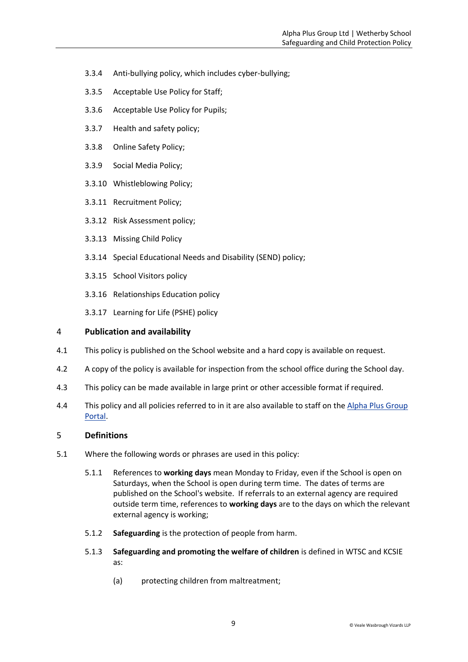- 3.3.4 Anti-bullying policy, which includes cyber-bullying;
- 3.3.5 Acceptable Use Policy for Staff;
- 3.3.6 Acceptable Use Policy for Pupils;
- 3.3.7 Health and safety policy;
- 3.3.8 Online Safety Policy;
- 3.3.9 Social Media Policy;
- 3.3.10 Whistleblowing Policy;
- 3.3.11 Recruitment Policy;
- 3.3.12 Risk Assessment policy;
- 3.3.13 Missing Child Policy
- 3.3.14 Special Educational Needs and Disability (SEND) policy;
- 3.3.15 School Visitors policy
- 3.3.16 Relationships Education policy
- 3.3.17 Learning for Life (PSHE) policy

#### <span id="page-8-0"></span>4 **Publication and availability**

- 4.1 This policy is published on the School website and a hard copy is available on request.
- 4.2 A copy of the policy is available for inspection from the school office during the School day.
- 4.3 This policy can be made available in large print or other accessible format if required.
- 4.4 This policy and all policies referred to in it are also available to staff on the [Alpha Plus Group](https://egiportal.alphaplusgroup.co.uk/Pages/default.aspx)  [Portal.](https://egiportal.alphaplusgroup.co.uk/Pages/default.aspx)

#### <span id="page-8-1"></span>5 **Definitions**

- 5.1 Where the following words or phrases are used in this policy:
	- 5.1.1 References to **working days** mean Monday to Friday, even if the School is open on Saturdays, when the School is open during term time. The dates of terms are published on the School's website. If referrals to an external agency are required outside term time, references to **working days** are to the days on which the relevant external agency is working;
	- 5.1.2 **Safeguarding** is the protection of people from harm.
	- 5.1.3 **Safeguarding and promoting the welfare of children** is defined in WTSC and KCSIE as:
		- (a) protecting children from maltreatment;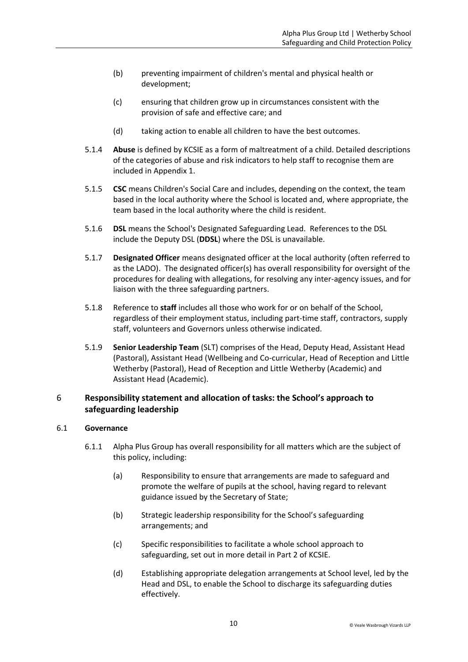- (b) preventing impairment of children's mental and physical health or development;
- (c) ensuring that children grow up in circumstances consistent with the provision of safe and effective care; and
- (d) taking action to enable all children to have the best outcomes.
- 5.1.4 **Abuse** is defined by KCSIE as a form of maltreatment of a child. Detailed descriptions of the categories of abuse and risk indicators to help staff to recognise them are included in Appendix 1.
- 5.1.5 **CSC** means Children's Social Care and includes, depending on the context, the team based in the local authority where the School is located and, where appropriate, the team based in the local authority where the child is resident.
- 5.1.6 **DSL** means the School's Designated Safeguarding Lead. References to the DSL include the Deputy DSL (**DDSL**) where the DSL is unavailable.
- 5.1.7 **Designated Officer** means designated officer at the local authority (often referred to as the LADO). The designated officer(s) has overall responsibility for oversight of the procedures for dealing with allegations, for resolving any inter-agency issues, and for liaison with the three safeguarding partners.
- 5.1.8 Reference to **staff** includes all those who work for or on behalf of the School, regardless of their employment status, including part-time staff, contractors, supply staff, volunteers and Governors unless otherwise indicated.
- 5.1.9 **Senior Leadership Team** (SLT) comprises of the Head, Deputy Head, Assistant Head (Pastoral), Assistant Head (Wellbeing and Co-curricular, Head of Reception and Little Wetherby (Pastoral), Head of Reception and Little Wetherby (Academic) and Assistant Head (Academic).

## <span id="page-9-0"></span>6 **Responsibility statement and allocation of tasks: the School's approach to safeguarding leadership**

## 6.1 **Governance**

- 6.1.1 Alpha Plus Group has overall responsibility for all matters which are the subject of this policy, including:
	- (a) Responsibility to ensure that arrangements are made to safeguard and promote the welfare of pupils at the school, having regard to relevant guidance issued by the Secretary of State;
	- (b) Strategic leadership responsibility for the School's safeguarding arrangements; and
	- (c) Specific responsibilities to facilitate a whole school approach to safeguarding, set out in more detail in Part 2 of KCSIE.
	- (d) Establishing appropriate delegation arrangements at School level, led by the Head and DSL, to enable the School to discharge its safeguarding duties effectively.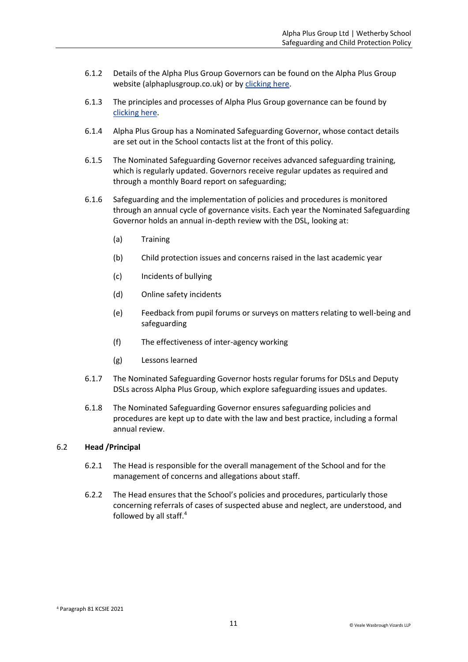- 6.1.2 Details of the Alpha Plus Group Governors can be found on the Alpha Plus Group website (alphaplusgroup.co.uk) or by [clicking here.](http://www.alphaplusgroup.co.uk/AboutUs/Governors/)
- 6.1.3 The principles and processes of Alpha Plus Group governance can be found by [clicking here.](https://public-egiportal.alphaplusgroup.co.uk/Alpha%20Plus%20Group%20Documents/Governance%20at%20Alpha%20Plus.pdf)
- 6.1.4 Alpha Plus Group has a Nominated Safeguarding Governor, whose contact details are set out in the School contacts list at the front of this policy.
- 6.1.5 The Nominated Safeguarding Governor receives advanced safeguarding training, which is regularly updated. Governors receive regular updates as required and through a monthly Board report on safeguarding;
- 6.1.6 Safeguarding and the implementation of policies and procedures is monitored through an annual cycle of governance visits. Each year the Nominated Safeguarding Governor holds an annual in-depth review with the DSL, looking at:
	- (a) Training
	- (b) Child protection issues and concerns raised in the last academic year
	- (c) Incidents of bullying
	- (d) Online safety incidents
	- (e) Feedback from pupil forums or surveys on matters relating to well-being and safeguarding
	- (f) The effectiveness of inter-agency working
	- (g) Lessons learned
- 6.1.7 The Nominated Safeguarding Governor hosts regular forums for DSLs and Deputy DSLs across Alpha Plus Group, which explore safeguarding issues and updates.
- 6.1.8 The Nominated Safeguarding Governor ensures safeguarding policies and procedures are kept up to date with the law and best practice, including a formal annual review.

## 6.2 **Head /Principal**

- 6.2.1 The Head is responsible for the overall management of the School and for the management of concerns and allegations about staff.
- 6.2.2 The Head ensures that the School's policies and procedures, particularly those concerning referrals of cases of suspected abuse and neglect, are understood, and followed by all staff.<sup>4</sup>

<sup>4</sup> Paragraph 81 KCSIE 2021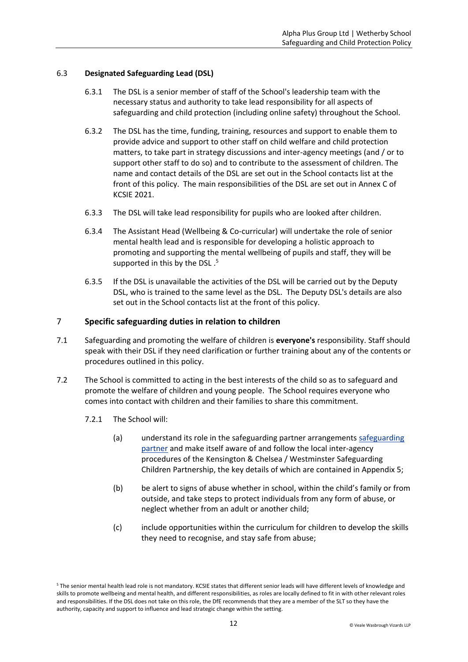## 6.3 **Designated Safeguarding Lead (DSL)**

- 6.3.1 The DSL is a senior member of staff of the School's leadership team with the necessary status and authority to take lead responsibility for all aspects of safeguarding and child protection (including online safety) throughout the School.
- 6.3.2 The DSL has the time, funding, training, resources and support to enable them to provide advice and support to other staff on child welfare and child protection matters, to take part in strategy discussions and inter-agency meetings (and / or to support other staff to do so) and to contribute to the assessment of children. The name and contact details of the DSL are set out in the School contacts list at the front of this policy. The main responsibilities of the DSL are set out in Annex C of KCSIE 2021.
- 6.3.3 The DSL will take lead responsibility for pupils who are looked after children.
- 6.3.4 The Assistant Head (Wellbeing & Co-curricular) will undertake the role of senior mental health lead and is responsible for developing a holistic approach to promoting and supporting the mental wellbeing of pupils and staff, they will be supported in this by the DSL.<sup>5</sup>
- 6.3.5 If the DSL is unavailable the activities of the DSL will be carried out by the Deputy DSL, who is trained to the same level as the DSL. The Deputy DSL's details are also set out in the School contacts list at the front of this policy.

## <span id="page-11-0"></span>7 **Specific safeguarding duties in relation to children**

- 7.1 Safeguarding and promoting the welfare of children is **everyone's** responsibility. Staff should speak with their DSL if they need clarification or further training about any of the contents or procedures outlined in this policy.
- 7.2 The School is committed to acting in the best interests of the child so as to safeguard and promote the welfare of children and young people. The School requires everyone who comes into contact with children and their families to share this commitment.
	- 7.2.1 The School will:
		- (a) understand its role in the [safeguarding](https://www.rbkc.gov.uk/lscp/information-professionals-and-volunteers) partner arrangements safeguarding [partner](https://www.rbkc.gov.uk/lscp/information-professionals-and-volunteers) and make itself aware of and follow the local inter-agency procedures of the Kensington & Chelsea / Westminster Safeguarding Children Partnership, the key details of which are contained in Appendix 5;
		- (b) be alert to signs of abuse whether in school, within the child's family or from outside, and take steps to protect individuals from any form of abuse, or neglect whether from an adult or another child;
		- (c) include opportunities within the curriculum for children to develop the skills they need to recognise, and stay safe from abuse;

<sup>5</sup> The senior mental health lead role is not mandatory. KCSIE states that different senior leads will have different levels of knowledge and skills to promote wellbeing and mental health, and different responsibilities, as roles are locally defined to fit in with other relevant roles and responsibilities. If the DSL does not take on this role, the DfE recommends that they are a member of the SLT so they have the authority, capacity and support to influence and lead strategic change within the setting.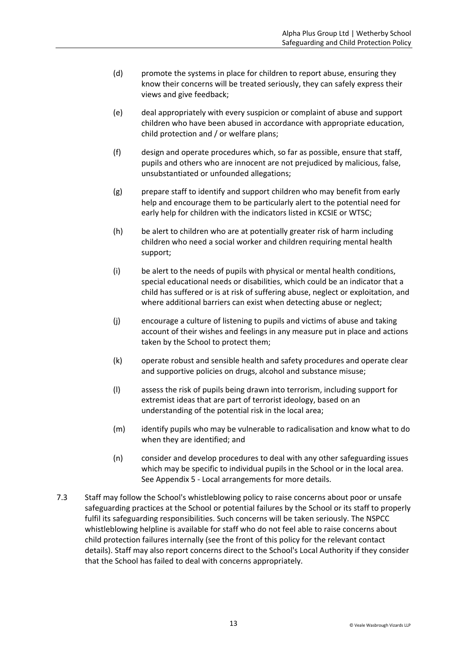- (d) promote the systems in place for children to report abuse, ensuring they know their concerns will be treated seriously, they can safely express their views and give feedback;
- (e) deal appropriately with every suspicion or complaint of abuse and support children who have been abused in accordance with appropriate education, child protection and / or welfare plans;
- (f) design and operate procedures which, so far as possible, ensure that staff, pupils and others who are innocent are not prejudiced by malicious, false, unsubstantiated or unfounded allegations;
- (g) prepare staff to identify and support children who may benefit from early help and encourage them to be particularly alert to the potential need for early help for children with the indicators listed in KCSIE or WTSC;
- (h) be alert to children who are at potentially greater risk of harm including children who need a social worker and children requiring mental health support;
- (i) be alert to the needs of pupils with physical or mental health conditions, special educational needs or disabilities, which could be an indicator that a child has suffered or is at risk of suffering abuse, neglect or exploitation, and where additional barriers can exist when detecting abuse or neglect;
- (j) encourage a culture of listening to pupils and victims of abuse and taking account of their wishes and feelings in any measure put in place and actions taken by the School to protect them;
- (k) operate robust and sensible health and safety procedures and operate clear and supportive policies on drugs, alcohol and substance misuse;
- (l) assess the risk of pupils being drawn into terrorism, including support for extremist ideas that are part of terrorist ideology, based on an understanding of the potential risk in the local area;
- (m) identify pupils who may be vulnerable to radicalisation and know what to do when they are identified; and
- (n) consider and develop procedures to deal with any other safeguarding issues which may be specific to individual pupils in the School or in the local area. See Appendix 5 - Local arrangements for more details.
- 7.3 Staff may follow the School's whistleblowing policy to raise concerns about poor or unsafe safeguarding practices at the School or potential failures by the School or its staff to properly fulfil its safeguarding responsibilities. Such concerns will be taken seriously. The NSPCC whistleblowing helpline is available for staff who do not feel able to raise concerns about child protection failures internally (see the front of this policy for the relevant contact details). Staff may also report concerns direct to the School's Local Authority if they consider that the School has failed to deal with concerns appropriately.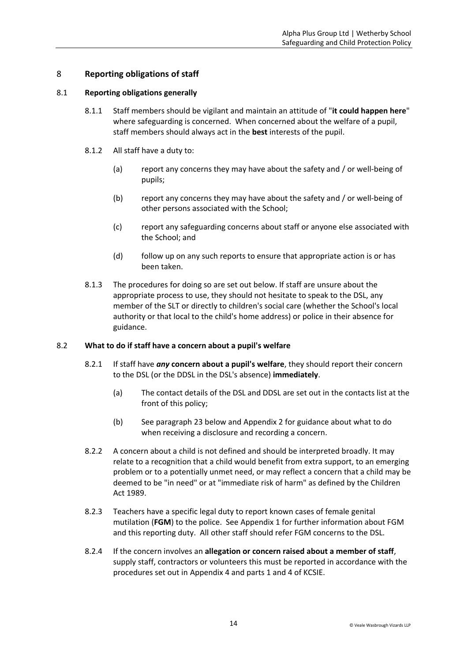## <span id="page-13-0"></span>8 **Reporting obligations of staff**

#### 8.1 **Reporting obligations generally**

- 8.1.1 Staff members should be vigilant and maintain an attitude of "**it could happen here**" where safeguarding is concerned. When concerned about the welfare of a pupil, staff members should always act in the **best** interests of the pupil.
- 8.1.2 All staff have a duty to:
	- (a) report any concerns they may have about the safety and / or well-being of pupils;
	- (b) report any concerns they may have about the safety and / or well-being of other persons associated with the School;
	- (c) report any safeguarding concerns about staff or anyone else associated with the School; and
	- (d) follow up on any such reports to ensure that appropriate action is or has been taken.
- 8.1.3 The procedures for doing so are set out below. If staff are unsure about the appropriate process to use, they should not hesitate to speak to the DSL, any member of the SLT or directly to children's social care (whether the School's local authority or that local to the child's home address) or police in their absence for guidance.

#### 8.2 **What to do if staff have a concern about a pupil's welfare**

- 8.2.1 If staff have *any* **concern about a pupil's welfare**, they should report their concern to the DSL (or the DDSL in the DSL's absence) **immediately**.
	- (a) The contact details of the DSL and DDSL are set out in the contacts list at the front of this policy;
	- (b) See paragraph 23 below and Appendix 2 for guidance about what to do when receiving a disclosure and recording a concern.
- 8.2.2 A concern about a child is not defined and should be interpreted broadly. It may relate to a recognition that a child would benefit from extra support, to an emerging problem or to a potentially unmet need, or may reflect a concern that a child may be deemed to be "in need" or at "immediate risk of harm" as defined by the Children Act 1989.
- 8.2.3 Teachers have a specific legal duty to report known cases of female genital mutilation (**FGM**) to the police. See [Appendix 1](#page-26-1) for further information about FGM and this reporting duty. All other staff should refer FGM concerns to the DSL.
- 8.2.4 If the concern involves an **allegation or concern raised about a member of staff**, supply staff, contractors or volunteers this must be reported in accordance with the procedures set out i[n Appendix 4](#page-46-0) and parts 1 and 4 of KCSIE.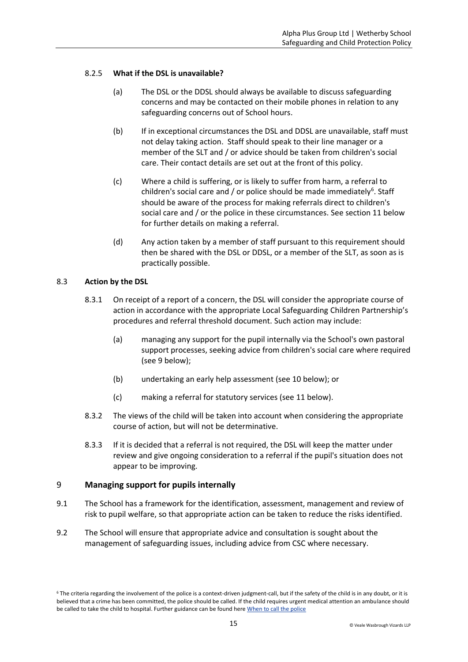## 8.2.5 **What if the DSL is unavailable?**

- (a) The DSL or the DDSL should always be available to discuss safeguarding concerns and may be contacted on their mobile phones in relation to any safeguarding concerns out of School hours.
- (b) If in exceptional circumstances the DSL and DDSL are unavailable, staff must not delay taking action. Staff should speak to their line manager or a member of the SLT and / or advice should be taken from children's social care. Their contact details are set out at the front of this policy.
- (c) Where a child is suffering, or is likely to suffer from harm, a referral to children's social care and / or police should be made immediately<sup>6</sup>. Staff should be aware of the process for making referrals direct to children's social care and / or the police in these circumstances. See section 11 below for further details on making a referral.
- (d) Any action taken by a member of staff pursuant to this requirement should then be shared with the DSL or DDSL, or a member of the SLT, as soon as is practically possible.

## 8.3 **Action by the DSL**

- 8.3.1 On receipt of a report of a concern, the DSL will consider the appropriate course of action in accordance with the appropriate Local Safeguarding Children Partnership's procedures and referral threshold document. Such action may include:
	- (a) managing any support for the pupil internally via the School's own pastoral support processes, seeking advice from children's social care where required (see [9](#page-14-0) below);
	- (b) undertaking an early help assessment (see [10](#page-15-0) below); or
	- (c) making a referral for statutory services (see [11](#page-16-0) below).
- 8.3.2 The views of the child will be taken into account when considering the appropriate course of action, but will not be determinative.
- 8.3.3 If it is decided that a referral is not required, the DSL will keep the matter under review and give ongoing consideration to a referral if the pupil's situation does not appear to be improving.

#### <span id="page-14-0"></span>9 **Managing support for pupils internally**

- 9.1 The School has a framework for the identification, assessment, management and review of risk to pupil welfare, so that appropriate action can be taken to reduce the risks identified.
- 9.2 The School will ensure that appropriate advice and consultation is sought about the management of safeguarding issues, including advice from CSC where necessary.

<sup>&</sup>lt;sup>6</sup> The criteria regarding the involvement of the police is a context-driven judgment-call, but if the safety of the child is in any doubt, or it is believed that a crime has been committed, the police should be called. If the child requires urgent medical attention an ambulance should be called to take the child to hospital. Further guidance can be found here When to call the police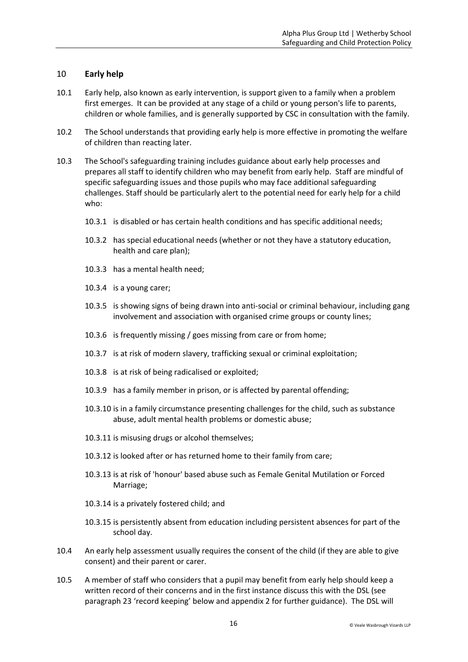## <span id="page-15-0"></span>10 **Early help**

- 10.1 Early help, also known as early intervention, is support given to a family when a problem first emerges. It can be provided at any stage of a child or young person's life to parents, children or whole families, and is generally supported by CSC in consultation with the family.
- 10.2 The School understands that providing early help is more effective in promoting the welfare of children than reacting later.
- 10.3 The School's safeguarding training includes guidance about early help processes and prepares all staff to identify children who may benefit from early help. Staff are mindful of specific safeguarding issues and those pupils who may face additional safeguarding challenges. Staff should be particularly alert to the potential need for early help for a child who:
	- 10.3.1 is disabled or has certain health conditions and has specific additional needs;
	- 10.3.2 has special educational needs (whether or not they have a statutory education, health and care plan);
	- 10.3.3 has a mental health need;
	- 10.3.4 is a young carer;
	- 10.3.5 is showing signs of being drawn into anti-social or criminal behaviour, including gang involvement and association with organised crime groups or county lines;
	- 10.3.6 is frequently missing / goes missing from care or from home;
	- 10.3.7 is at risk of modern slavery, trafficking sexual or criminal exploitation;
	- 10.3.8 is at risk of being radicalised or exploited;
	- 10.3.9 has a family member in prison, or is affected by parental offending;
	- 10.3.10 is in a family circumstance presenting challenges for the child, such as substance abuse, adult mental health problems or domestic abuse;
	- 10.3.11 is misusing drugs or alcohol themselves;
	- 10.3.12 is looked after or has returned home to their family from care;
	- 10.3.13 is at risk of 'honour' based abuse such as Female Genital Mutilation or Forced Marriage;
	- 10.3.14 is a privately fostered child; and
	- 10.3.15 is persistently absent from education including persistent absences for part of the school day.
- 10.4 An early help assessment usually requires the consent of the child (if they are able to give consent) and their parent or carer.
- 10.5 A member of staff who considers that a pupil may benefit from early help should keep a written record of their concerns and in the first instance discuss this with the DSL (see paragraph 23 'record keeping' below and appendix 2 for further guidance). The DSL will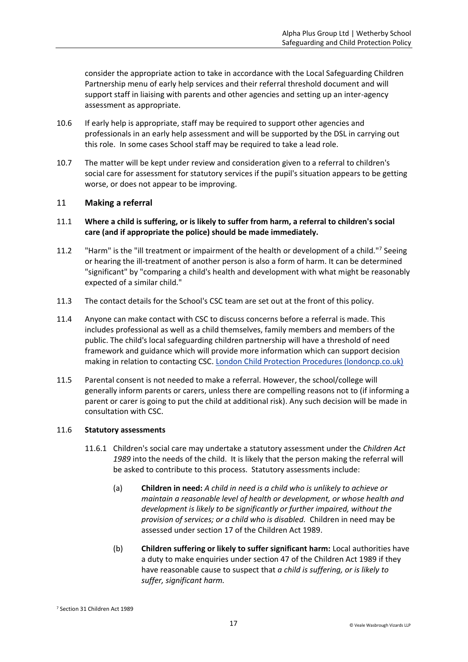consider the appropriate action to take in accordance with the Local Safeguarding Children Partnership menu of early help services and their referral threshold document and will support staff in liaising with parents and other agencies and setting up an inter-agency assessment as appropriate.

- 10.6 If early help is appropriate, staff may be required to support other agencies and professionals in an early help assessment and will be supported by the DSL in carrying out this role. In some cases School staff may be required to take a lead role.
- 10.7 The matter will be kept under review and consideration given to a referral to children's social care for assessment for statutory services if the pupil's situation appears to be getting worse, or does not appear to be improving.

## <span id="page-16-0"></span>11 **Making a referral**

## 11.1 **Where a child is suffering, or is likely to suffer from harm, a referral to children's social care (and if appropriate the police) should be made immediately.**

- 11.2 "Harm" is the "ill treatment or impairment of the health or development of a child."<sup>7</sup> Seeing or hearing the ill-treatment of another person is also a form of harm. It can be determined "significant" by "comparing a child's health and development with what might be reasonably expected of a similar child."
- 11.3 The contact details for the School's CSC team are set out at the front of this policy.
- 11.4 Anyone can make contact with CSC to discuss concerns before a referral is made. This includes professional as well as a child themselves, family members and members of the public. The child's local safeguarding children partnership will have a threshold of need framework and guidance which will provide more information which can support decision making in relation to contacting CSC. [London Child Protection Procedures \(londoncp.co.uk\)](https://www.londoncp.co.uk/)
- 11.5 Parental consent is not needed to make a referral. However, the school/college will generally inform parents or carers, unless there are compelling reasons not to (if informing a parent or carer is going to put the child at additional risk). Any such decision will be made in consultation with CSC.

#### 11.6 **Statutory assessments**

- 11.6.1 Children's social care may undertake a statutory assessment under the *Children Act 1989* into the needs of the child. It is likely that the person making the referral will be asked to contribute to this process. Statutory assessments include:
	- (a) **Children in need:** *A child in need is a child who is unlikely to achieve or maintain a reasonable level of health or development, or whose health and development is likely to be significantly or further impaired, without the provision of services; or a child who is disabled.* Children in need may be assessed under section 17 of the Children Act 1989.
	- (b) **Children suffering or likely to suffer significant harm:** Local authorities have a duty to make enquiries under section 47 of the Children Act 1989 if they have reasonable cause to suspect that *a child is suffering, or is likely to suffer, significant harm.*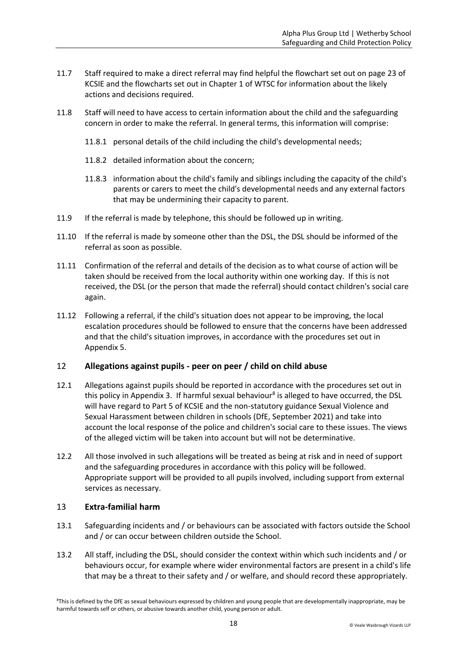- 11.7 Staff required to make a direct referral may find helpful the flowchart set out on page 23 of KCSIE and the flowcharts set out in Chapter 1 of WTSC for information about the likely actions and decisions required.
- 11.8 Staff will need to have access to certain information about the child and the safeguarding concern in order to make the referral. In general terms, this information will comprise:
	- 11.8.1 personal details of the child including the child's developmental needs;
	- 11.8.2 detailed information about the concern;
	- 11.8.3 information about the child's family and siblings including the capacity of the child's parents or carers to meet the child's developmental needs and any external factors that may be undermining their capacity to parent.
- 11.9 If the referral is made by telephone, this should be followed up in writing.
- 11.10 If the referral is made by someone other than the DSL, the DSL should be informed of the referral as soon as possible.
- 11.11 Confirmation of the referral and details of the decision as to what course of action will be taken should be received from the local authority within one working day. If this is not received, the DSL (or the person that made the referral) should contact children's social care again.
- 11.12 Following a referral, if the child's situation does not appear to be improving, the local escalation procedures should be followed to ensure that the concerns have been addressed and that the child's situation improves, in accordance with the procedures set out in Appendix 5.

## <span id="page-17-0"></span>12 **Allegations against pupils - peer on peer / child on child abuse**

- 12.1 Allegations against pupils should be reported in accordance with the procedures set out in this policy in Appendix 3. If harmful sexual behaviour<sup>8</sup> is alleged to have occurred, the DSL will have regard to Part 5 of KCSIE and the non-statutory guidance Sexual Violence and Sexual Harassment between children in schools (DfE, September 2021) and take into account the local response of the police and children's social care to these issues. The views of the alleged victim will be taken into account but will not be determinative.
- 12.2 All those involved in such allegations will be treated as being at risk and in need of support and the safeguarding procedures in accordance with this policy will be followed. Appropriate support will be provided to all pupils involved, including support from external services as necessary.

#### <span id="page-17-1"></span>13 **Extra-familial harm**

- 13.1 Safeguarding incidents and / or behaviours can be associated with factors outside the School and / or can occur between children outside the School.
- 13.2 All staff, including the DSL, should consider the context within which such incidents and / or behaviours occur, for example where wider environmental factors are present in a child's life that may be a threat to their safety and / or welfare, and should record these appropriately.

<sup>8</sup>This is defined by the DfE as sexual behaviours expressed by children and young people that are developmentally inappropriate, may be harmful towards self or others, or abusive towards another child, young person or adult.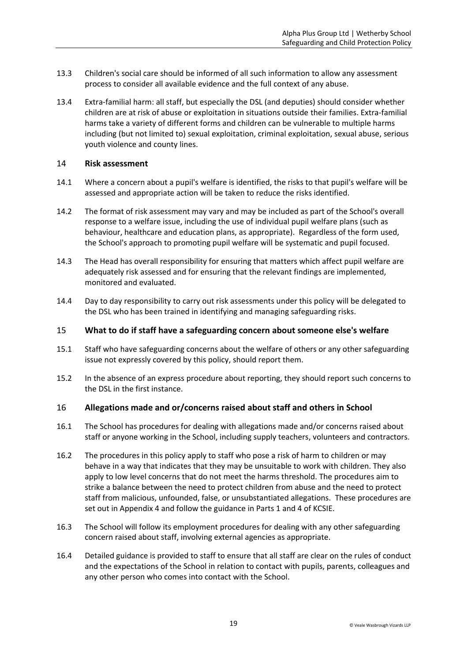- 13.3 Children's social care should be informed of all such information to allow any assessment process to consider all available evidence and the full context of any abuse.
- 13.4 Extra-familial harm: all staff, but especially the DSL (and deputies) should consider whether children are at risk of abuse or exploitation in situations outside their families. Extra-familial harms take a variety of different forms and children can be vulnerable to multiple harms including (but not limited to) sexual exploitation, criminal exploitation, sexual abuse, serious youth violence and county lines.

#### <span id="page-18-0"></span>14 **Risk assessment**

- 14.1 Where a concern about a pupil's welfare is identified, the risks to that pupil's welfare will be assessed and appropriate action will be taken to reduce the risks identified.
- 14.2 The format of risk assessment may vary and may be included as part of the School's overall response to a welfare issue, including the use of individual pupil welfare plans (such as behaviour, healthcare and education plans, as appropriate). Regardless of the form used, the School's approach to promoting pupil welfare will be systematic and pupil focused.
- 14.3 The Head has overall responsibility for ensuring that matters which affect pupil welfare are adequately risk assessed and for ensuring that the relevant findings are implemented, monitored and evaluated.
- 14.4 Day to day responsibility to carry out risk assessments under this policy will be delegated to the DSL who has been trained in identifying and managing safeguarding risks.

## <span id="page-18-1"></span>15 **What to do if staff have a safeguarding concern about someone else's welfare**

- 15.1 Staff who have safeguarding concerns about the welfare of others or any other safeguarding issue not expressly covered by this policy, should report them.
- 15.2 In the absence of an express procedure about reporting, they should report such concerns to the DSL in the first instance.

## <span id="page-18-2"></span>16 **Allegations made and or/concerns raised about staff and others in School**

- 16.1 The School has procedures for dealing with allegations made and/or concerns raised about staff or anyone working in the School, including supply teachers, volunteers and contractors.
- 16.2 The procedures in this policy apply to staff who pose a risk of harm to children or may behave in a way that indicates that they may be unsuitable to work with children. They also apply to low level concerns that do not meet the harms threshold. The procedures aim to strike a balance between the need to protect children from abuse and the need to protect staff from malicious, unfounded, false, or unsubstantiated allegations. These procedures are set out in Appendix 4 and follow the guidance in Parts 1 and 4 of KCSIE.
- 16.3 The School will follow its employment procedures for dealing with any other safeguarding concern raised about staff, involving external agencies as appropriate.
- 16.4 Detailed guidance is provided to staff to ensure that all staff are clear on the rules of conduct and the expectations of the School in relation to contact with pupils, parents, colleagues and any other person who comes into contact with the School.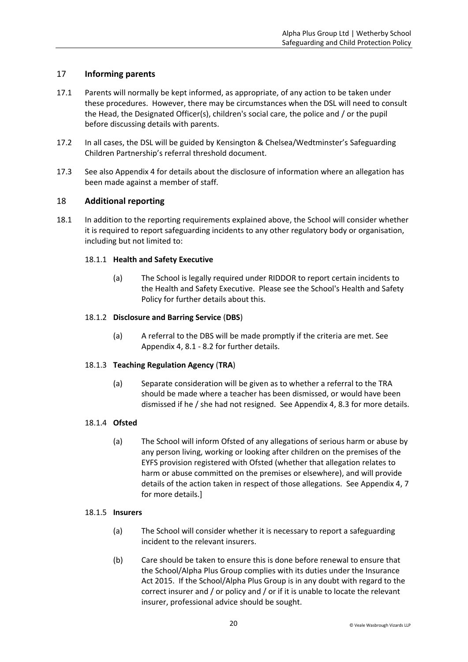## <span id="page-19-0"></span>17 **Informing parents**

- 17.1 Parents will normally be kept informed, as appropriate, of any action to be taken under these procedures. However, there may be circumstances when the DSL will need to consult the Head, the Designated Officer(s), children's social care, the police and / or the pupil before discussing details with parents.
- 17.2 In all cases, the DSL will be guided by Kensington & Chelsea/Wedtminster's Safeguarding Children Partnership's referral threshold document.
- 17.3 See also [Appendix 4](#page-46-0) for details about the disclosure of information where an allegation has been made against a member of staff.

## <span id="page-19-1"></span>18 **Additional reporting**

18.1 In addition to the reporting requirements explained above, the School will consider whether it is required to report safeguarding incidents to any other regulatory body or organisation, including but not limited to:

#### 18.1.1 **Health and Safety Executive**

(a) The School is legally required under RIDDOR to report certain incidents to the Health and Safety Executive. Please see the School's Health and Safety Policy for further details about this.

#### 18.1.2 **Disclosure and Barring Service** (**DBS**)

(a) A referral to the DBS will be made promptly if the criteria are met. See Appendix 4[, 8.1](#page-49-0) - [8.2](#page-50-0) for further details.

#### 18.1.3 **Teaching Regulation Agency** (**TRA**)

(a) Separate consideration will be given as to whether a referral to the TRA should be made where a teacher has been dismissed, or would have been dismissed if he / she had not resigned. See Appendix 4, [8.3](#page-50-1) for more details.

#### 18.1.4 **Ofsted**

(a) The School will inform Ofsted of any allegations of serious harm or abuse by any person living, working or looking after children on the premises of the EYFS provision registered with Ofsted (whether that allegation relates to harm or abuse committed on the premises or elsewhere), and will provide details of the action taken in respect of those allegations. See Appendix 4[, 7](#page-49-1) for more details.]

#### 18.1.5 **Insurers**

- (a) The School will consider whether it is necessary to report a safeguarding incident to the relevant insurers.
- (b) Care should be taken to ensure this is done before renewal to ensure that the School/Alpha Plus Group complies with its duties under the Insurance Act 2015. If the School/Alpha Plus Group is in any doubt with regard to the correct insurer and / or policy and / or if it is unable to locate the relevant insurer, professional advice should be sought.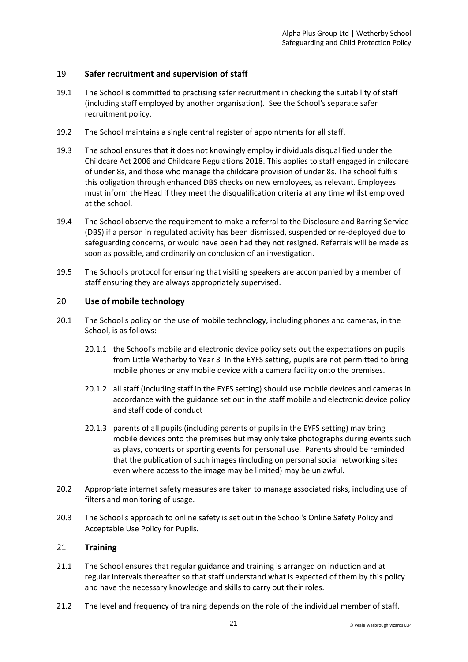## <span id="page-20-0"></span>19 **Safer recruitment and supervision of staff**

- 19.1 The School is committed to practising safer recruitment in checking the suitability of staff (including staff employed by another organisation). See the School's separate safer recruitment policy.
- 19.2 The School maintains a single central register of appointments for all staff.
- 19.3 The school ensures that it does not knowingly employ individuals disqualified under the Childcare Act 2006 and Childcare Regulations 2018. This applies to staff engaged in childcare of under 8s, and those who manage the childcare provision of under 8s. The school fulfils this obligation through enhanced DBS checks on new employees, as relevant. Employees must inform the Head if they meet the disqualification criteria at any time whilst employed at the school.
- 19.4 The School observe the requirement to make a referral to the Disclosure and Barring Service (DBS) if a person in regulated activity has been dismissed, suspended or re-deployed due to safeguarding concerns, or would have been had they not resigned. Referrals will be made as soon as possible, and ordinarily on conclusion of an investigation.
- 19.5 The School's protocol for ensuring that visiting speakers are accompanied by a member of staff ensuring they are always appropriately supervised.

#### <span id="page-20-1"></span>20 **Use of mobile technology**

- 20.1 The School's policy on the use of mobile technology, including phones and cameras, in the School, is as follows:
	- 20.1.1 the School's mobile and electronic device policy sets out the expectations on pupils from Little Wetherby to Year 3 In the EYFS setting, pupils are not permitted to bring mobile phones or any mobile device with a camera facility onto the premises.
	- 20.1.2 all staff (including staff in the EYFS setting) should use mobile devices and cameras in accordance with the guidance set out in the staff mobile and electronic device policy and staff code of conduct
	- 20.1.3 parents of all pupils (including parents of pupils in the EYFS setting) may bring mobile devices onto the premises but may only take photographs during events such as plays, concerts or sporting events for personal use. Parents should be reminded that the publication of such images (including on personal social networking sites even where access to the image may be limited) may be unlawful.
- 20.2 Appropriate internet safety measures are taken to manage associated risks, including use of filters and monitoring of usage.
- 20.3 The School's approach to online safety is set out in the School's Online Safety Policy and Acceptable Use Policy for Pupils.

#### <span id="page-20-2"></span>21 **Training**

- 21.1 The School ensures that regular guidance and training is arranged on induction and at regular intervals thereafter so that staff understand what is expected of them by this policy and have the necessary knowledge and skills to carry out their roles.
- 21.2 The level and frequency of training depends on the role of the individual member of staff.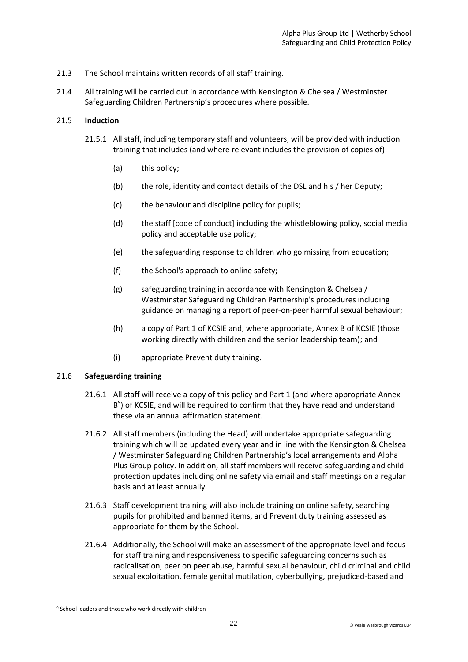- 21.3 The School maintains written records of all staff training.
- 21.4 All training will be carried out in accordance with Kensington & Chelsea / Westminster Safeguarding Children Partnership's procedures where possible.

#### 21.5 **Induction**

- 21.5.1 All staff, including temporary staff and volunteers, will be provided with induction training that includes (and where relevant includes the provision of copies of):
	- (a) this policy;
	- (b) the role, identity and contact details of the DSL and his / her Deputy;
	- (c) the behaviour and discipline policy for pupils;
	- (d) the staff [code of conduct] including the whistleblowing policy, social media policy and acceptable use policy;
	- (e) the safeguarding response to children who go missing from education;
	- (f) the School's approach to online safety;
	- (g) safeguarding training in accordance with Kensington & Chelsea / Westminster Safeguarding Children Partnership's procedures including guidance on managing a report of peer-on-peer harmful sexual behaviour;
	- (h) a copy of Part 1 of KCSIE and, where appropriate, Annex B of KCSIE (those working directly with children and the senior leadership team); and
	- (i) appropriate Prevent duty training.

#### 21.6 **Safeguarding training**

- 21.6.1 All staff will receive a copy of this policy and Part 1 (and where appropriate Annex B<sup>9</sup>) of KCSIE, and will be required to confirm that they have read and understand these via an annual affirmation statement.
- 21.6.2 All staff members (including the Head) will undertake appropriate safeguarding training which will be updated every year and in line with the Kensington & Chelsea / Westminster Safeguarding Children Partnership's local arrangements and Alpha Plus Group policy. In addition, all staff members will receive safeguarding and child protection updates including online safety via email and staff meetings on a regular basis and at least annually.
- 21.6.3 Staff development training will also include training on online safety, searching pupils for prohibited and banned items, and Prevent duty training assessed as appropriate for them by the School.
- 21.6.4 Additionally, the School will make an assessment of the appropriate level and focus for staff training and responsiveness to specific safeguarding concerns such as radicalisation, peer on peer abuse, harmful sexual behaviour, child criminal and child sexual exploitation, female genital mutilation, cyberbullying, prejudiced-based and

<sup>9</sup> School leaders and those who work directly with children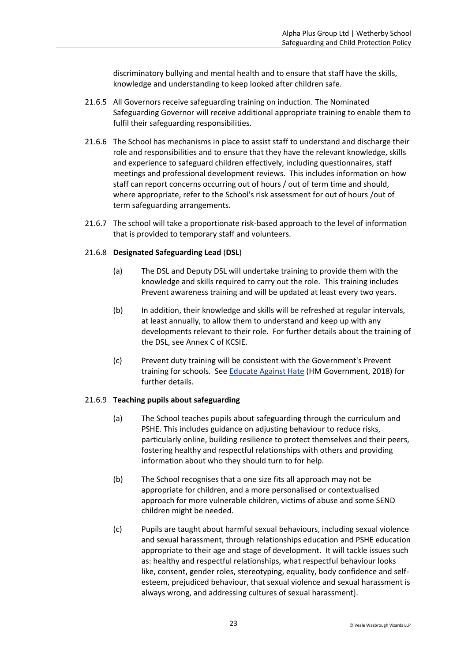discriminatory bullying and mental health and to ensure that staff have the skills, knowledge and understanding to keep looked after children safe.

- 21.6.5 All Governors receive safeguarding training on induction. The Nominated Safeguarding Governor will receive additional appropriate training to enable them to fulfil their safeguarding responsibilities.
- 21.6.6 The School has mechanisms in place to assist staff to understand and discharge their role and responsibilities and to ensure that they have the relevant knowledge, skills and experience to safeguard children effectively, including questionnaires, staff meetings and professional development reviews. This includes information on how staff can report concerns occurring out of hours / out of term time and should, where appropriate, refer to the School's risk assessment for out of hours /out of term safeguarding arrangements.
- 21.6.7 The school will take a proportionate risk-based approach to the level of information that is provided to temporary staff and volunteers.

## 21.6.8 **Designated Safeguarding Lead** (**DSL**)

- (a) The DSL and Deputy DSL will undertake training to provide them with the knowledge and skills required to carry out the role. This training includes Prevent awareness training and will be updated at least every two years.
- (b) In addition, their knowledge and skills will be refreshed at regular intervals, at least annually, to allow them to understand and keep up with any developments relevant to their role. For further details about the training of the DSL, see Annex C of KCSIE.
- (c) Prevent duty training will be consistent with the Government's Prevent training for schools. See [Educate Against Hate](https://educateagainsthate.com/) (HM Government, 2018) for further details.

#### 21.6.9 **Teaching pupils about safeguarding**

- (a) The School teaches pupils about safeguarding through the curriculum and PSHE. This includes guidance on adjusting behaviour to reduce risks, particularly online, building resilience to protect themselves and their peers, fostering healthy and respectful relationships with others and providing information about who they should turn to for help.
- (b) The School recognises that a one size fits all approach may not be appropriate for children, and a more personalised or contextualised approach for more vulnerable children, victims of abuse and some SEND children might be needed.
- (c) Pupils are taught about harmful sexual behaviours, including sexual violence and sexual harassment, through relationships education and PSHE education appropriate to their age and stage of development. It will tackle issues such as: healthy and respectful relationships, what respectful behaviour looks like, consent, gender roles, stereotyping, equality, body confidence and selfesteem, prejudiced behaviour, that sexual violence and sexual harassment is always wrong, and addressing cultures of sexual harassment].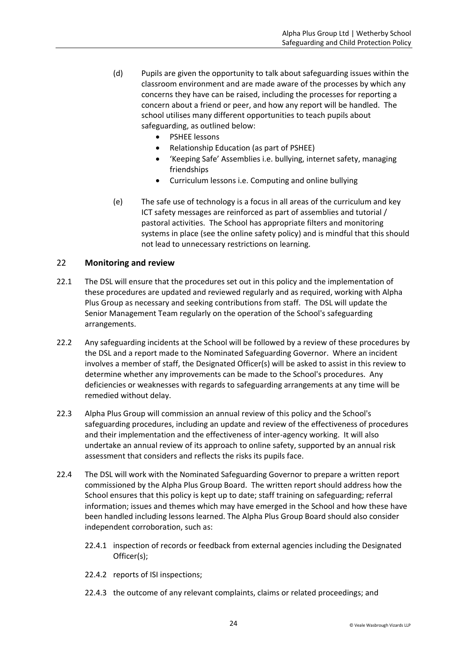- (d) Pupils are given the opportunity to talk about safeguarding issues within the classroom environment and are made aware of the processes by which any concerns they have can be raised, including the processes for reporting a concern about a friend or peer, and how any report will be handled. The school utilises many different opportunities to teach pupils about safeguarding, as outlined below:
	- PSHEE lessons
	- Relationship Education (as part of PSHEE)
	- 'Keeping Safe' Assemblies i.e. bullying, internet safety, managing friendships
	- Curriculum lessons i.e. Computing and online bullying
- (e) The safe use of technology is a focus in all areas of the curriculum and key ICT safety messages are reinforced as part of assemblies and tutorial / pastoral activities. The School has appropriate filters and monitoring systems in place (see the online safety policy) and is mindful that this should not lead to unnecessary restrictions on learning.

## <span id="page-23-0"></span>22 **Monitoring and review**

- 22.1 The DSL will ensure that the procedures set out in this policy and the implementation of these procedures are updated and reviewed regularly and as required, working with Alpha Plus Group as necessary and seeking contributions from staff. The DSL will update the Senior Management Team regularly on the operation of the School's safeguarding arrangements.
- 22.2 Any safeguarding incidents at the School will be followed by a review of these procedures by the DSL and a report made to the Nominated Safeguarding Governor. Where an incident involves a member of staff, the Designated Officer(s) will be asked to assist in this review to determine whether any improvements can be made to the School's procedures. Any deficiencies or weaknesses with regards to safeguarding arrangements at any time will be remedied without delay.
- 22.3 Alpha Plus Group will commission an annual review of this policy and the School's safeguarding procedures, including an update and review of the effectiveness of procedures and their implementation and the effectiveness of inter-agency working. It will also undertake an annual review of its approach to online safety, supported by an annual risk assessment that considers and reflects the risks its pupils face.
- 22.4 The DSL will work with the Nominated Safeguarding Governor to prepare a written report commissioned by the Alpha Plus Group Board. The written report should address how the School ensures that this policy is kept up to date; staff training on safeguarding; referral information; issues and themes which may have emerged in the School and how these have been handled including lessons learned. The Alpha Plus Group Board should also consider independent corroboration, such as:
	- 22.4.1 inspection of records or feedback from external agencies including the Designated Officer(s);
	- 22.4.2 reports of ISI inspections;
	- 22.4.3 the outcome of any relevant complaints, claims or related proceedings; and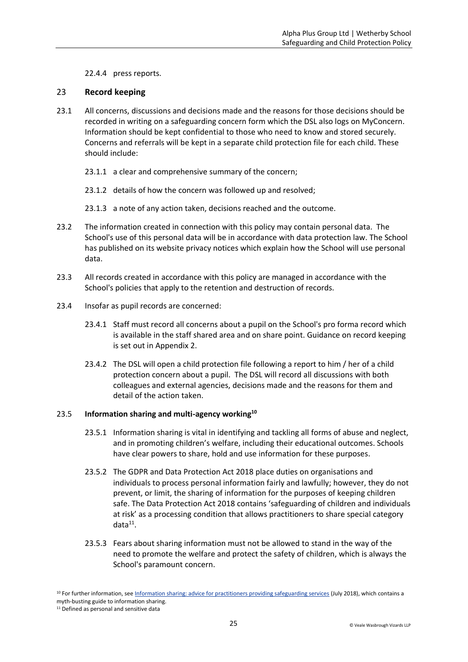22.4.4 press reports.

## <span id="page-24-0"></span>23 **Record keeping**

- 23.1 All concerns, discussions and decisions made and the reasons for those decisions should be recorded in writing on a safeguarding concern form which the DSL also logs on MyConcern. Information should be kept confidential to those who need to know and stored securely. Concerns and referrals will be kept in a separate child protection file for each child. These should include:
	- 23.1.1 a clear and comprehensive summary of the concern;
	- 23.1.2 details of how the concern was followed up and resolved;
	- 23.1.3 a note of any action taken, decisions reached and the outcome.
- 23.2 The information created in connection with this policy may contain personal data. The School's use of this personal data will be in accordance with data protection law. The School has published on its website privacy notices which explain how the School will use personal data.
- 23.3 All records created in accordance with this policy are managed in accordance with the School's policies that apply to the retention and destruction of records.
- 23.4 Insofar as pupil records are concerned:
	- 23.4.1 Staff must record all concerns about a pupil on the School's pro forma record which is available in the staff shared area and on share point. Guidance on record keeping is set out in Appendix 2.
	- 23.4.2 The DSL will open a child protection file following a report to him / her of a child protection concern about a pupil. The DSL will record all discussions with both colleagues and external agencies, decisions made and the reasons for them and detail of the action taken.

#### 23.5 **Information sharing and multi-agency working<sup>10</sup>**

- 23.5.1 Information sharing is vital in identifying and tackling all forms of abuse and neglect, and in promoting children's welfare, including their educational outcomes. Schools have clear powers to share, hold and use information for these purposes.
- 23.5.2 The GDPR and Data Protection Act 2018 place duties on organisations and individuals to process personal information fairly and lawfully; however, they do not prevent, or limit, the sharing of information for the purposes of keeping children safe. The Data Protection Act 2018 contains 'safeguarding of children and individuals at risk' as a processing condition that allows practitioners to share special category  $data<sup>11</sup>$ .
- 23.5.3 Fears about sharing information must not be allowed to stand in the way of the need to promote the welfare and protect the safety of children, which is always the School's paramount concern.

<sup>&</sup>lt;sup>10</sup> For further information, se[e Information sharing: advice for practitioners providing safeguarding services](https://www.gov.uk/government/publications/safeguarding-practitioners-information-sharing-advice) (July 2018), which contains a myth-busting guide to information sharing.

<sup>&</sup>lt;sup>11</sup> Defined as personal and sensitive data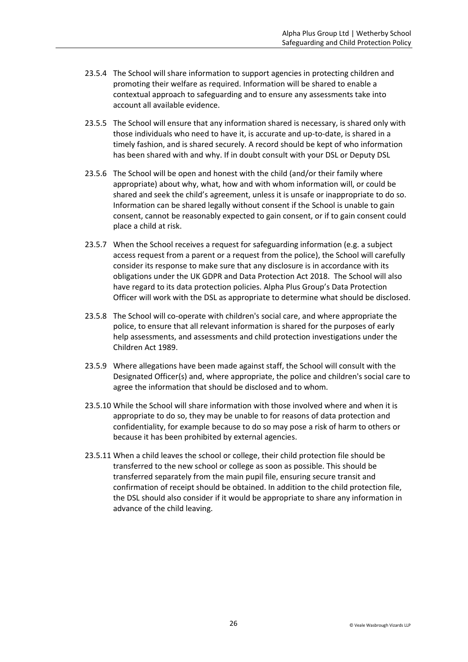- 23.5.4 The School will share information to support agencies in protecting children and promoting their welfare as required. Information will be shared to enable a contextual approach to safeguarding and to ensure any assessments take into account all available evidence.
- 23.5.5 The School will ensure that any information shared is necessary, is shared only with those individuals who need to have it, is accurate and up-to-date, is shared in a timely fashion, and is shared securely. A record should be kept of who information has been shared with and why. If in doubt consult with your DSL or Deputy DSL
- 23.5.6 The School will be open and honest with the child (and/or their family where appropriate) about why, what, how and with whom information will, or could be shared and seek the child's agreement, unless it is unsafe or inappropriate to do so. Information can be shared legally without consent if the School is unable to gain consent, cannot be reasonably expected to gain consent, or if to gain consent could place a child at risk.
- 23.5.7 When the School receives a request for safeguarding information (e.g. a subject access request from a parent or a request from the police), the School will carefully consider its response to make sure that any disclosure is in accordance with its obligations under the UK GDPR and Data Protection Act 2018. The School will also have regard to its data protection policies. Alpha Plus Group's Data Protection Officer will work with the DSL as appropriate to determine what should be disclosed.
- 23.5.8 The School will co-operate with children's social care, and where appropriate the police, to ensure that all relevant information is shared for the purposes of early help assessments, and assessments and child protection investigations under the Children Act 1989.
- 23.5.9 Where allegations have been made against staff, the School will consult with the Designated Officer(s) and, where appropriate, the police and children's social care to agree the information that should be disclosed and to whom.
- 23.5.10 While the School will share information with those involved where and when it is appropriate to do so, they may be unable to for reasons of data protection and confidentiality, for example because to do so may pose a risk of harm to others or because it has been prohibited by external agencies.
- 23.5.11 When a child leaves the school or college, their child protection file should be transferred to the new school or college as soon as possible. This should be transferred separately from the main pupil file, ensuring secure transit and confirmation of receipt should be obtained. In addition to the child protection file, the DSL should also consider if it would be appropriate to share any information in advance of the child leaving.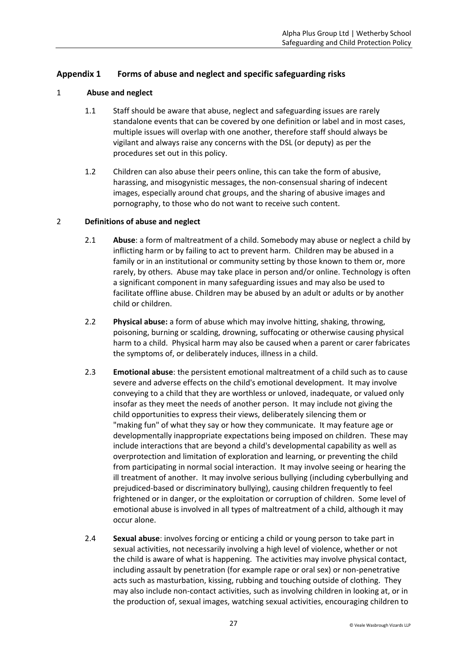## <span id="page-26-1"></span>**Appendix 1 Forms of abuse and neglect and specific safeguarding risks**

#### 1 **Abuse and neglect**

- <span id="page-26-0"></span>1.1 Staff should be aware that abuse, neglect and safeguarding issues are rarely standalone events that can be covered by one definition or label and in most cases, multiple issues will overlap with one another, therefore staff should always be vigilant and always raise any concerns with the DSL (or deputy) as per the procedures set out in this policy.
- 1.2 Children can also abuse their peers online, this can take the form of abusive, harassing, and misogynistic messages, the non-consensual sharing of indecent images, especially around chat groups, and the sharing of abusive images and pornography, to those who do not want to receive such content.

#### 2 **Definitions of abuse and neglect**

- 2.1 **Abuse**: a form of maltreatment of a child. Somebody may abuse or neglect a child by inflicting harm or by failing to act to prevent harm. Children may be abused in a family or in an institutional or community setting by those known to them or, more rarely, by others. Abuse may take place in person and/or online. Technology is often a significant component in many safeguarding issues and may also be used to facilitate offline abuse. Children may be abused by an adult or adults or by another child or children.
- 2.2 **Physical abuse:** a form of abuse which may involve hitting, shaking, throwing, poisoning, burning or scalding, drowning, suffocating or otherwise causing physical harm to a child. Physical harm may also be caused when a parent or carer fabricates the symptoms of, or deliberately induces, illness in a child.
- 2.3 **Emotional abuse**: the persistent emotional maltreatment of a child such as to cause severe and adverse effects on the child's emotional development. It may involve conveying to a child that they are worthless or unloved, inadequate, or valued only insofar as they meet the needs of another person. It may include not giving the child opportunities to express their views, deliberately silencing them or "making fun" of what they say or how they communicate. It may feature age or developmentally inappropriate expectations being imposed on children. These may include interactions that are beyond a child's developmental capability as well as overprotection and limitation of exploration and learning, or preventing the child from participating in normal social interaction. It may involve seeing or hearing the ill treatment of another. It may involve serious bullying (including cyberbullying and prejudiced-based or discriminatory bullying), causing children frequently to feel frightened or in danger, or the exploitation or corruption of children. Some level of emotional abuse is involved in all types of maltreatment of a child, although it may occur alone.
- 2.4 **Sexual abuse**: involves forcing or enticing a child or young person to take part in sexual activities, not necessarily involving a high level of violence, whether or not the child is aware of what is happening. The activities may involve physical contact, including assault by penetration (for example rape or oral sex) or non-penetrative acts such as masturbation, kissing, rubbing and touching outside of clothing. They may also include non-contact activities, such as involving children in looking at, or in the production of, sexual images, watching sexual activities, encouraging children to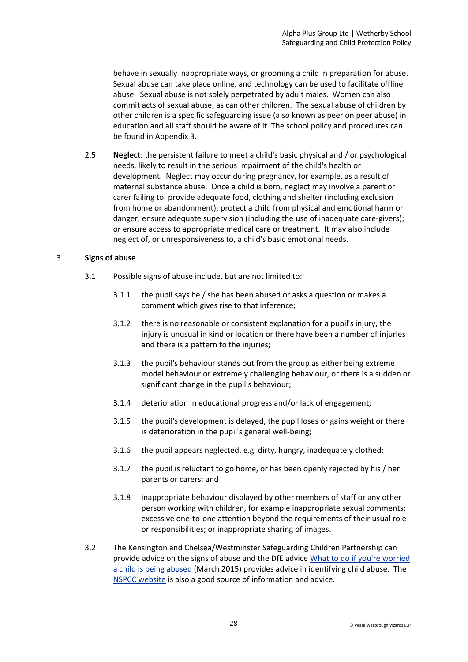behave in sexually inappropriate ways, or grooming a child in preparation for abuse. Sexual abuse can take place online, and technology can be used to facilitate offline abuse. Sexual abuse is not solely perpetrated by adult males. Women can also commit acts of sexual abuse, as can other children. The sexual abuse of children by other children is a specific safeguarding issue (also known as peer on peer abuse) in education and all staff should be aware of it. The school policy and procedures can be found in Appendix 3.

2.5 **Neglect**: the persistent failure to meet a child's basic physical and / or psychological needs, likely to result in the serious impairment of the child's health or development. Neglect may occur during pregnancy, for example, as a result of maternal substance abuse. Once a child is born, neglect may involve a parent or carer failing to: provide adequate food, clothing and shelter (including exclusion from home or abandonment); protect a child from physical and emotional harm or danger; ensure adequate supervision (including the use of inadequate care-givers); or ensure access to appropriate medical care or treatment. It may also include neglect of, or unresponsiveness to, a child's basic emotional needs.

## 3 **Signs of abuse**

- 3.1 Possible signs of abuse include, but are not limited to:
	- 3.1.1 the pupil says he / she has been abused or asks a question or makes a comment which gives rise to that inference;
	- 3.1.2 there is no reasonable or consistent explanation for a pupil's injury, the injury is unusual in kind or location or there have been a number of injuries and there is a pattern to the injuries;
	- 3.1.3 the pupil's behaviour stands out from the group as either being extreme model behaviour or extremely challenging behaviour, or there is a sudden or significant change in the pupil's behaviour;
	- 3.1.4 deterioration in educational progress and/or lack of engagement;
	- 3.1.5 the pupil's development is delayed, the pupil loses or gains weight or there is deterioration in the pupil's general well-being;
	- 3.1.6 the pupil appears neglected, e.g. dirty, hungry, inadequately clothed;
	- 3.1.7 the pupil is reluctant to go home, or has been openly rejected by his / her parents or carers; and
	- 3.1.8 inappropriate behaviour displayed by other members of staff or any other person working with children, for example inappropriate sexual comments; excessive one-to-one attention beyond the requirements of their usual role or responsibilities; or inappropriate sharing of images.
- 3.2 The Kensington and Chelsea/Westminster Safeguarding Children Partnership can provide advice on the signs of abuse and the DfE advice [What to do if you're worried](https://www.gov.uk/government/publications/what-to-do-if-youre-worried-a-child-is-being-abused--2)  [a child is being abused](https://www.gov.uk/government/publications/what-to-do-if-youre-worried-a-child-is-being-abused--2) (March 2015) provides advice in identifying child abuse. The [NSPCC website](https://www.nspcc.org.uk/) is also a good source of information and advice.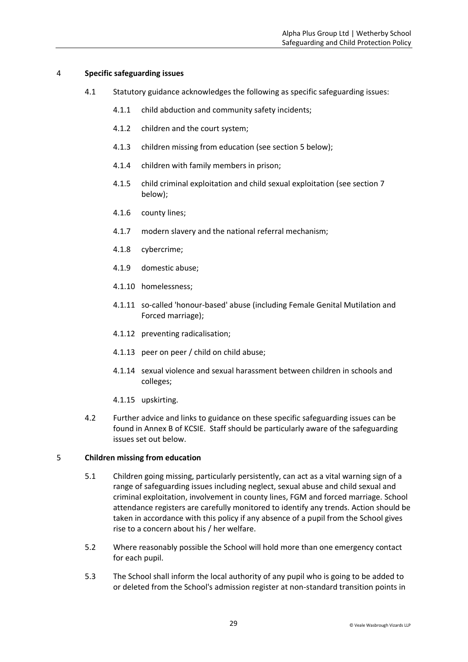#### 4 **Specific safeguarding issues**

- 4.1 Statutory guidance acknowledges the following as specific safeguarding issues:
	- 4.1.1 child abduction and community safety incidents;
	- 4.1.2 children and the court system;
	- 4.1.3 children missing from education (see section 5 below);
	- 4.1.4 children with family members in prison;
	- 4.1.5 child criminal exploitation and child sexual exploitation (see section 7 below);
	- 4.1.6 county lines;
	- 4.1.7 modern slavery and the national referral mechanism;
	- 4.1.8 cybercrime;
	- 4.1.9 domestic abuse;
	- 4.1.10 homelessness;
	- 4.1.11 so-called 'honour-based' abuse (including Female Genital Mutilation and Forced marriage);
	- 4.1.12 preventing radicalisation;
	- 4.1.13 peer on peer / child on child abuse;
	- 4.1.14 sexual violence and sexual harassment between children in schools and colleges;
	- 4.1.15 upskirting.
- 4.2 Further advice and links to guidance on these specific safeguarding issues can be found in Annex B of KCSIE. Staff should be particularly aware of the safeguarding issues set out below.

#### 5 **Children missing from education**

- 5.1 Children going missing, particularly persistently, can act as a vital warning sign of a range of safeguarding issues including neglect, sexual abuse and child sexual and criminal exploitation, involvement in county lines, FGM and forced marriage. School attendance registers are carefully monitored to identify any trends. Action should be taken in accordance with this policy if any absence of a pupil from the School gives rise to a concern about his / her welfare.
- 5.2 Where reasonably possible the School will hold more than one emergency contact for each pupil.
- 5.3 The School shall inform the local authority of any pupil who is going to be added to or deleted from the School's admission register at non-standard transition points in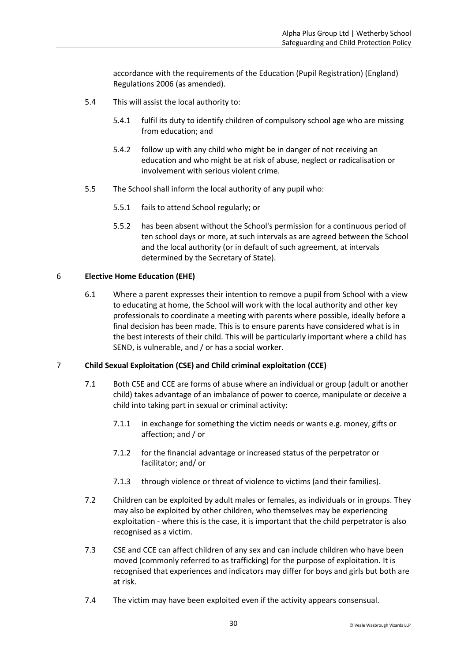accordance with the requirements of the Education (Pupil Registration) (England) Regulations 2006 (as amended).

- 5.4 This will assist the local authority to:
	- 5.4.1 fulfil its duty to identify children of compulsory school age who are missing from education; and
	- 5.4.2 follow up with any child who might be in danger of not receiving an education and who might be at risk of abuse, neglect or radicalisation or involvement with serious violent crime.
- 5.5 The School shall inform the local authority of any pupil who:
	- 5.5.1 fails to attend School regularly; or
	- 5.5.2 has been absent without the School's permission for a continuous period of ten school days or more, at such intervals as are agreed between the School and the local authority (or in default of such agreement, at intervals determined by the Secretary of State).

## 6 **Elective Home Education (EHE)**

6.1 Where a parent expresses their intention to remove a pupil from School with a view to educating at home, the School will work with the local authority and other key professionals to coordinate a meeting with parents where possible, ideally before a final decision has been made. This is to ensure parents have considered what is in the best interests of their child. This will be particularly important where a child has SEND, is vulnerable, and / or has a social worker.

#### 7 **Child Sexual Exploitation (CSE) and Child criminal exploitation (CCE)**

- 7.1 Both CSE and CCE are forms of abuse where an individual or group (adult or another child) takes advantage of an imbalance of power to coerce, manipulate or deceive a child into taking part in sexual or criminal activity:
	- 7.1.1 in exchange for something the victim needs or wants e.g. money, gifts or affection; and / or
	- 7.1.2 for the financial advantage or increased status of the perpetrator or facilitator; and/ or
	- 7.1.3 through violence or threat of violence to victims (and their families).
- 7.2 Children can be exploited by adult males or females, as individuals or in groups. They may also be exploited by other children, who themselves may be experiencing exploitation - where this is the case, it is important that the child perpetrator is also recognised as a victim.
- 7.3 CSE and CCE can affect children of any sex and can include children who have been moved (commonly referred to as trafficking) for the purpose of exploitation. It is recognised that experiences and indicators may differ for boys and girls but both are at risk.
- 7.4 The victim may have been exploited even if the activity appears consensual.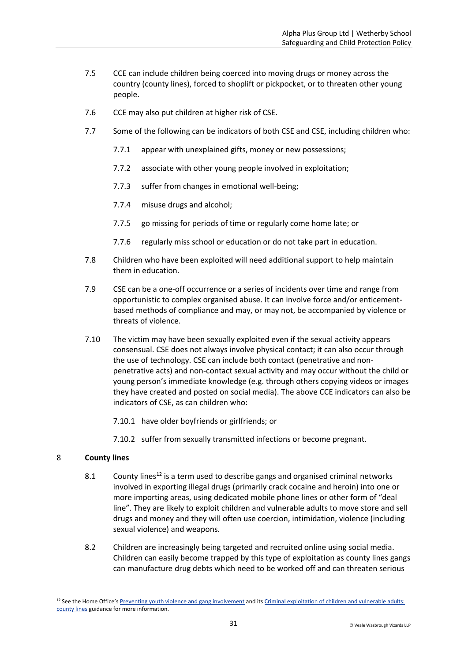- 7.5 CCE can include children being coerced into moving drugs or money across the country (county lines), forced to shoplift or pickpocket, or to threaten other young people.
- 7.6 CCE may also put children at higher risk of CSE.
- 7.7 Some of the following can be indicators of both CSE and CSE, including children who:
	- 7.7.1 appear with unexplained gifts, money or new possessions;
	- 7.7.2 associate with other young people involved in exploitation;
	- 7.7.3 suffer from changes in emotional well-being;
	- 7.7.4 misuse drugs and alcohol;
	- 7.7.5 go missing for periods of time or regularly come home late; or
	- 7.7.6 regularly miss school or education or do not take part in education.
- 7.8 Children who have been exploited will need additional support to help maintain them in education.
- 7.9 CSE can be a one-off occurrence or a series of incidents over time and range from opportunistic to complex organised abuse. It can involve force and/or enticementbased methods of compliance and may, or may not, be accompanied by violence or threats of violence.
- 7.10 The victim may have been sexually exploited even if the sexual activity appears consensual. CSE does not always involve physical contact; it can also occur through the use of technology. CSE can include both contact (penetrative and nonpenetrative acts) and non-contact sexual activity and may occur without the child or young person's immediate knowledge (e.g. through others copying videos or images they have created and posted on social media). The above CCE indicators can also be indicators of CSE, as can children who:
	- 7.10.1 have older boyfriends or girlfriends; or
	- 7.10.2 suffer from sexually transmitted infections or become pregnant.

#### 8 **County lines**

- 8.1 County lines<sup>12</sup> is a term used to describe gangs and organised criminal networks involved in exporting illegal drugs (primarily crack cocaine and heroin) into one or more importing areas, using dedicated mobile phone lines or other form of "deal line". They are likely to exploit children and vulnerable adults to move store and sell drugs and money and they will often use coercion, intimidation, violence (including sexual violence) and weapons.
- 8.2 Children are increasingly being targeted and recruited online using social media. Children can easily become trapped by this type of exploitation as county lines gangs can manufacture drug debts which need to be worked off and can threaten serious

<sup>&</sup>lt;sup>12</sup> See the Home Office's [Preventing youth violence and gang involvement](https://www.gov.uk/government/publications/advice-to-schools-and-colleges-on-gangs-and-youth-violence) and its Criminal exploitation of children and vulnerable adults: [county lines](https://www.gov.uk/government/publications/criminal-exploitation-of-children-and-vulnerable-adults-county-lines) guidance for more information.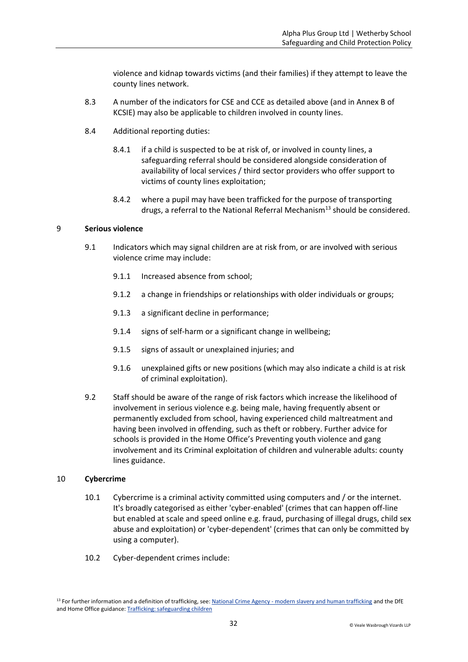violence and kidnap towards victims (and their families) if they attempt to leave the county lines network.

- 8.3 A number of the indicators for CSE and CCE as detailed above (and in Annex B of KCSIE) may also be applicable to children involved in county lines.
- 8.4 Additional reporting duties:
	- 8.4.1 if a child is suspected to be at risk of, or involved in county lines, a safeguarding referral should be considered alongside consideration of availability of local services / third sector providers who offer support to victims of county lines exploitation;
	- 8.4.2 where a pupil may have been trafficked for the purpose of transporting drugs, a referral to the National Referral Mechanism<sup>13</sup> should be considered.

## 9 **Serious violence**

- 9.1 Indicators which may signal children are at risk from, or are involved with serious violence crime may include:
	- 9.1.1 Increased absence from school;
	- 9.1.2 a change in friendships or relationships with older individuals or groups;
	- 9.1.3 a significant decline in performance;
	- 9.1.4 signs of self-harm or a significant change in wellbeing;
	- 9.1.5 signs of assault or unexplained injuries; and
	- 9.1.6 unexplained gifts or new positions (which may also indicate a child is at risk of criminal exploitation).
- 9.2 Staff should be aware of the range of risk factors which increase the likelihood of involvement in serious violence e.g. being male, having frequently absent or permanently excluded from school, having experienced child maltreatment and having been involved in offending, such as theft or robbery. Further advice for schools is provided in the Home Office's Preventing youth violence and gang involvement and its Criminal exploitation of children and vulnerable adults: county lines guidance.

#### 10 **Cybercrime**

- 10.1 Cybercrime is a criminal activity committed using computers and / or the internet. It's broadly categorised as either 'cyber-enabled' (crimes that can happen off-line but enabled at scale and speed online e.g. fraud, purchasing of illegal drugs, child sex abuse and exploitation) or 'cyber-dependent' (crimes that can only be committed by using a computer).
- 10.2 Cyber-dependent crimes include:

<sup>&</sup>lt;sup>13</sup> For further information and a definition of trafficking, see: National Crime Agency - [modern slavery and human trafficking](https://www.nationalcrimeagency.gov.uk/what-we-do/crime-threats/modern-slavery-and-human-trafficking) and the DfE and Home Office guidance[: Trafficking: safeguarding children](https://www.gov.uk/government/publications/safeguarding-children-who-may-have-been-trafficked-practice-guidance)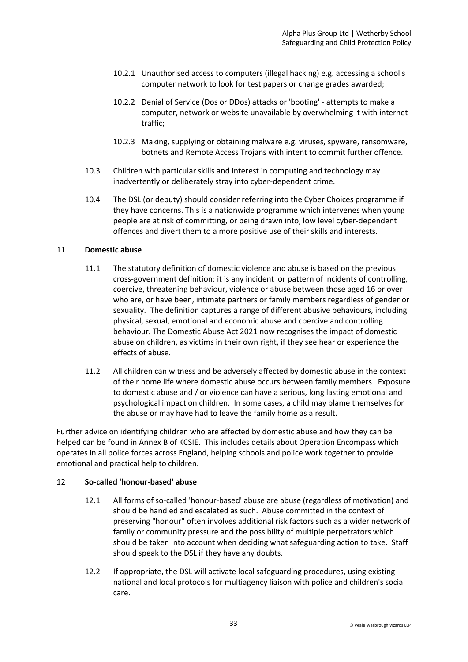- 10.2.1 Unauthorised access to computers (illegal hacking) e.g. accessing a school's computer network to look for test papers or change grades awarded;
- 10.2.2 Denial of Service (Dos or DDos) attacks or 'booting' attempts to make a computer, network or website unavailable by overwhelming it with internet traffic;
- 10.2.3 Making, supplying or obtaining malware e.g. viruses, spyware, ransomware, botnets and Remote Access Trojans with intent to commit further offence.
- 10.3 Children with particular skills and interest in computing and technology may inadvertently or deliberately stray into cyber-dependent crime.
- 10.4 The DSL (or deputy) should consider referring into the Cyber Choices programme if they have concerns. This is a nationwide programme which intervenes when young people are at risk of committing, or being drawn into, low level cyber-dependent offences and divert them to a more positive use of their skills and interests.

## 11 **Domestic abuse**

- 11.1 The statutory definition of domestic violence and abuse is based on the previous cross-government definition: it is any incident or pattern of incidents of controlling, coercive, threatening behaviour, violence or abuse between those aged 16 or over who are, or have been, intimate partners or family members regardless of gender or sexuality. The definition captures a range of different abusive behaviours, including physical, sexual, emotional and economic abuse and coercive and controlling behaviour. The Domestic Abuse Act 2021 now recognises the impact of domestic abuse on children, as victims in their own right, if they see hear or experience the effects of abuse.
- 11.2 All children can witness and be adversely affected by domestic abuse in the context of their home life where domestic abuse occurs between family members. Exposure to domestic abuse and / or violence can have a serious, long lasting emotional and psychological impact on children. In some cases, a child may blame themselves for the abuse or may have had to leave the family home as a result.

Further advice on identifying children who are affected by domestic abuse and how they can be helped can be found in Annex B of KCSIE. This includes details about Operation Encompass which operates in all police forces across England, helping schools and police work together to provide emotional and practical help to children.

#### 12 **So-called 'honour-based' abuse**

- 12.1 All forms of so-called 'honour-based' abuse are abuse (regardless of motivation) and should be handled and escalated as such. Abuse committed in the context of preserving "honour" often involves additional risk factors such as a wider network of family or community pressure and the possibility of multiple perpetrators which should be taken into account when deciding what safeguarding action to take. Staff should speak to the DSL if they have any doubts.
- 12.2 If appropriate, the DSL will activate local safeguarding procedures, using existing national and local protocols for multiagency liaison with police and children's social care.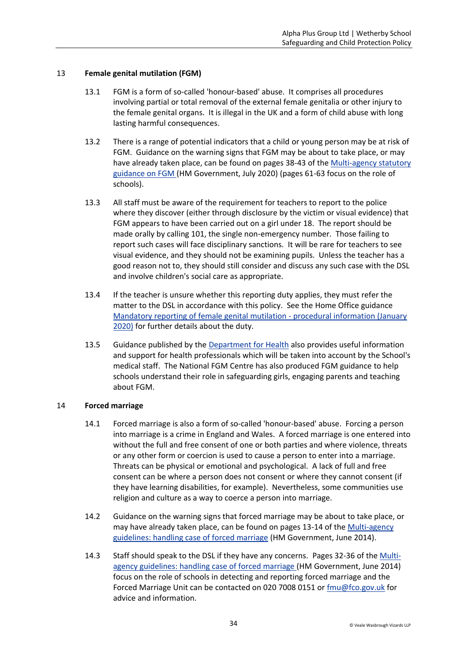## 13 **Female genital mutilation (FGM)**

- 13.1 FGM is a form of so-called 'honour-based' abuse. It comprises all procedures involving partial or total removal of the external female genitalia or other injury to the female genital organs. It is illegal in the UK and a form of child abuse with long lasting harmful consequences.
- 13.2 There is a range of potential indicators that a child or young person may be at risk of FGM. Guidance on the warning signs that FGM may be about to take place, or may have already taken place, can be found on pages 38-43 of the [Multi-agency statutory](https://www.gov.uk/government/publications/multi-agency-statutory-guidance-on-female-genital-mutilation)  [guidance on FGM \(](https://www.gov.uk/government/publications/multi-agency-statutory-guidance-on-female-genital-mutilation)HM Government, July 2020) (pages 61-63 focus on the role of schools).
- 13.3 All staff must be aware of the requirement for teachers to report to the police where they discover (either through disclosure by the victim or visual evidence) that FGM appears to have been carried out on a girl under 18. The report should be made orally by calling 101, the single non-emergency number. Those failing to report such cases will face disciplinary sanctions. It will be rare for teachers to see visual evidence, and they should not be examining pupils. Unless the teacher has a good reason not to, they should still consider and discuss any such case with the DSL and involve children's social care as appropriate.
- 13.4 If the teacher is unsure whether this reporting duty applies, they must refer the matter to the DSL in accordance with this policy. See the Home Office guidance [Mandatory reporting of female genital mutilation -](https://www.gov.uk/government/publications/mandatory-reporting-of-female-genital-mutilation-procedural-information) procedural information (January [2020\)](https://www.gov.uk/government/publications/mandatory-reporting-of-female-genital-mutilation-procedural-information) for further details about the duty.
- 13.5 Guidance published by the [Department for Health](https://www.gov.uk/government/publications/fgm-mandatory-reporting-in-healthcare) also provides useful information and support for health professionals which will be taken into account by the School's medical staff. The National FGM Centre has also produced FGM guidance to help schools understand their role in safeguarding girls, engaging parents and teaching about FGM.

#### 14 **Forced marriage**

- 14.1 Forced marriage is also a form of so-called 'honour-based' abuse. Forcing a person into marriage is a crime in England and Wales. A forced marriage is one entered into without the full and free consent of one or both parties and where violence, threats or any other form or coercion is used to cause a person to enter into a marriage. Threats can be physical or emotional and psychological. A lack of full and free consent can be where a person does not consent or where they cannot consent (if they have learning disabilities, for example). Nevertheless, some communities use religion and culture as a way to coerce a person into marriage.
- 14.2 Guidance on the warning signs that forced marriage may be about to take place, or may have already taken place, can be found on pages 13-14 of the [Multi-agency](https://www.gov.uk/government/uploads/system/uploads/attachment_data/file/322307/HMG_MULTI_AGENCY_PRACTICE_GUIDELINES_v1_180614_FINAL.pdf)  [guidelines: handling case of forced marriage](https://www.gov.uk/government/uploads/system/uploads/attachment_data/file/322307/HMG_MULTI_AGENCY_PRACTICE_GUIDELINES_v1_180614_FINAL.pdf) (HM Government, June 2014).
- 14.3 Staff should speak to the DSL if they have any concerns. Pages 32-36 of the [Multi](https://www.gov.uk/government/uploads/system/uploads/attachment_data/file/322307/HMG_MULTI_AGENCY_PRACTICE_GUIDELINES_v1_180614_FINAL.pdf)[agency guidelines: handling case of forced marriage \(](https://www.gov.uk/government/uploads/system/uploads/attachment_data/file/322307/HMG_MULTI_AGENCY_PRACTICE_GUIDELINES_v1_180614_FINAL.pdf)HM Government, June 2014) focus on the role of schools in detecting and reporting forced marriage and the Forced Marriage Unit can be contacted on 020 7008 0151 or [fmu@fco.gov.uk](https://livealphaplusgroupco-my.sharepoint.com/NRPortbl/1901/AppData/Local/Microsoft/Windows/833/My%20Documents/NRPortbl/LIVE/833/fmu@fco.gov.uk) for advice and information.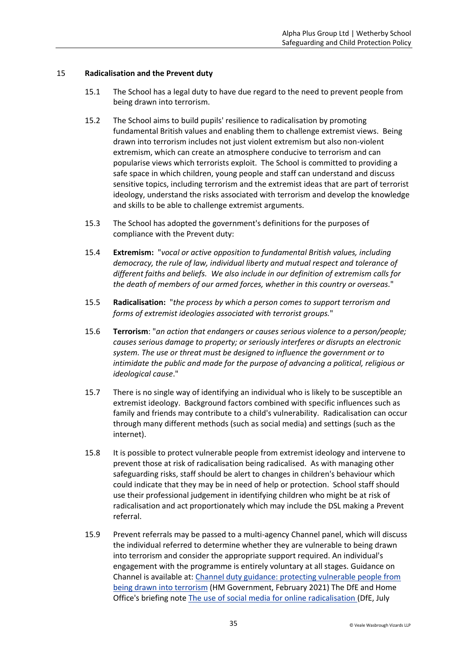## 15 **Radicalisation and the Prevent duty**

- 15.1 The School has a legal duty to have due regard to the need to prevent people from being drawn into terrorism.
- 15.2 The School aims to build pupils' resilience to radicalisation by promoting fundamental British values and enabling them to challenge extremist views. Being drawn into terrorism includes not just violent extremism but also non-violent extremism, which can create an atmosphere conducive to terrorism and can popularise views which terrorists exploit. The School is committed to providing a safe space in which children, young people and staff can understand and discuss sensitive topics, including terrorism and the extremist ideas that are part of terrorist ideology, understand the risks associated with terrorism and develop the knowledge and skills to be able to challenge extremist arguments.
- 15.3 The School has adopted the government's definitions for the purposes of compliance with the Prevent duty:
- 15.4 **Extremism:** "*vocal or active opposition to fundamental British values, including democracy, the rule of law, individual liberty and mutual respect and tolerance of different faiths and beliefs. We also include in our definition of extremism calls for the death of members of our armed forces, whether in this country or overseas.*"
- 15.5 **Radicalisation:** "*the process by which a person comes to support terrorism and forms of extremist ideologies associated with terrorist groups.*"
- 15.6 **Terrorism**: "*an action that endangers or causes serious violence to a person/people; causes serious damage to property; or seriously interferes or disrupts an electronic system. The use or threat must be designed to influence the government or to intimidate the public and made for the purpose of advancing a political, religious or ideological cause*."
- 15.7 There is no single way of identifying an individual who is likely to be susceptible an extremist ideology. Background factors combined with specific influences such as family and friends may contribute to a child's vulnerability. Radicalisation can occur through many different methods (such as social media) and settings (such as the internet).
- 15.8 It is possible to protect vulnerable people from extremist ideology and intervene to prevent those at risk of radicalisation being radicalised. As with managing other safeguarding risks, staff should be alert to changes in children's behaviour which could indicate that they may be in need of help or protection. School staff should use their professional judgement in identifying children who might be at risk of radicalisation and act proportionately which may include the DSL making a Prevent referral.
- 15.9 Prevent referrals may be passed to a multi-agency Channel panel, which will discuss the individual referred to determine whether they are vulnerable to being drawn into terrorism and consider the appropriate support required. An individual's engagement with the programme is entirely voluntary at all stages. Guidance on Channel is available at: [Channel duty guidance: protecting vulnerable people from](https://www.gov.uk/government/publications/channel-and-prevent-multi-agency-panel-pmap-guidance)  [being drawn into terrorism](https://www.gov.uk/government/publications/channel-and-prevent-multi-agency-panel-pmap-guidance) (HM Government, February 2021) The DfE and Home Office's briefing note [The use of social media for online radicalisation \(](https://www.gov.uk/government/uploads/system/uploads/attachment_data/file/440450/How_social_media_is_used_to_encourage_travel_to_Syria_and_Iraq.pdf)DfE, July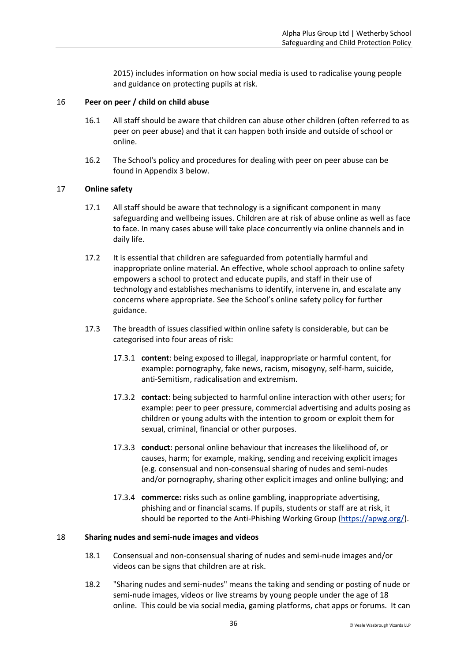2015) includes information on how social media is used to radicalise young people and guidance on protecting pupils at risk.

#### 16 **Peer on peer / child on child abuse**

- 16.1 All staff should be aware that children can abuse other children (often referred to as peer on peer abuse) and that it can happen both inside and outside of school or online.
- 16.2 The School's policy and procedures for dealing with peer on peer abuse can be found in Appendix 3 below.

#### 17 **Online safety**

- 17.1 All staff should be aware that technology is a significant component in many safeguarding and wellbeing issues. Children are at risk of abuse online as well as face to face. In many cases abuse will take place concurrently via online channels and in daily life.
- 17.2 It is essential that children are safeguarded from potentially harmful and inappropriate online material. An effective, whole school approach to online safety empowers a school to protect and educate pupils, and staff in their use of technology and establishes mechanisms to identify, intervene in, and escalate any concerns where appropriate. See the School's online safety policy for further guidance.
- 17.3 The breadth of issues classified within online safety is considerable, but can be categorised into four areas of risk:
	- 17.3.1 **content**: being exposed to illegal, inappropriate or harmful content, for example: pornography, fake news, racism, misogyny, self-harm, suicide, anti-Semitism, radicalisation and extremism.
	- 17.3.2 **contact**: being subjected to harmful online interaction with other users; for example: peer to peer pressure, commercial advertising and adults posing as children or young adults with the intention to groom or exploit them for sexual, criminal, financial or other purposes.
	- 17.3.3 **conduct**: personal online behaviour that increases the likelihood of, or causes, harm; for example, making, sending and receiving explicit images (e.g. consensual and non-consensual sharing of nudes and semi-nudes and/or pornography, sharing other explicit images and online bullying; and
	- 17.3.4 **commerce:** risks such as online gambling, inappropriate advertising, phishing and or financial scams. If pupils, students or staff are at risk, it should be reported to the Anti-Phishing Working Group [\(https://apwg.org/\)](https://apwg.org/).

#### 18 **Sharing nudes and semi-nude images and videos**

- 18.1 Consensual and non-consensual sharing of nudes and semi-nude images and/or videos can be signs that children are at risk.
- 18.2 "Sharing nudes and semi-nudes" means the taking and sending or posting of nude or semi-nude images, videos or live streams by young people under the age of 18 online. This could be via social media, gaming platforms, chat apps or forums. It can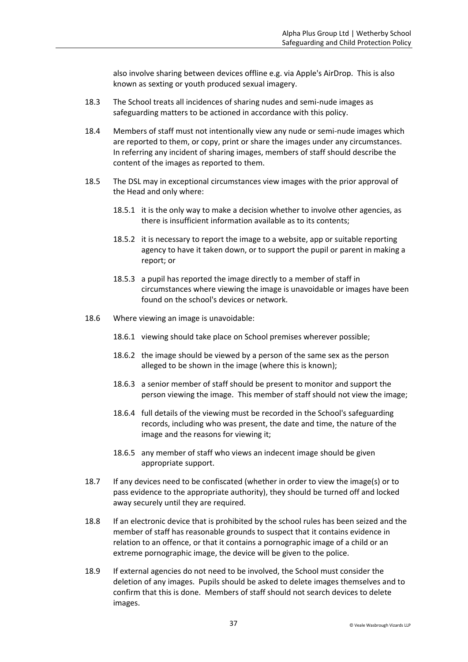also involve sharing between devices offline e.g. via Apple's AirDrop. This is also known as sexting or youth produced sexual imagery.

- 18.3 The School treats all incidences of sharing nudes and semi-nude images as safeguarding matters to be actioned in accordance with this policy.
- 18.4 Members of staff must not intentionally view any nude or semi-nude images which are reported to them, or copy, print or share the images under any circumstances. In referring any incident of sharing images, members of staff should describe the content of the images as reported to them.
- 18.5 The DSL may in exceptional circumstances view images with the prior approval of the Head and only where:
	- 18.5.1 it is the only way to make a decision whether to involve other agencies, as there is insufficient information available as to its contents;
	- 18.5.2 it is necessary to report the image to a website, app or suitable reporting agency to have it taken down, or to support the pupil or parent in making a report; or
	- 18.5.3 a pupil has reported the image directly to a member of staff in circumstances where viewing the image is unavoidable or images have been found on the school's devices or network.
- 18.6 Where viewing an image is unavoidable:
	- 18.6.1 viewing should take place on School premises wherever possible;
	- 18.6.2 the image should be viewed by a person of the same sex as the person alleged to be shown in the image (where this is known);
	- 18.6.3 a senior member of staff should be present to monitor and support the person viewing the image. This member of staff should not view the image;
	- 18.6.4 full details of the viewing must be recorded in the School's safeguarding records, including who was present, the date and time, the nature of the image and the reasons for viewing it;
	- 18.6.5 any member of staff who views an indecent image should be given appropriate support.
- 18.7 If any devices need to be confiscated (whether in order to view the image(s) or to pass evidence to the appropriate authority), they should be turned off and locked away securely until they are required.
- 18.8 If an electronic device that is prohibited by the school rules has been seized and the member of staff has reasonable grounds to suspect that it contains evidence in relation to an offence, or that it contains a pornographic image of a child or an extreme pornographic image, the device will be given to the police.
- 18.9 If external agencies do not need to be involved, the School must consider the deletion of any images. Pupils should be asked to delete images themselves and to confirm that this is done. Members of staff should not search devices to delete images.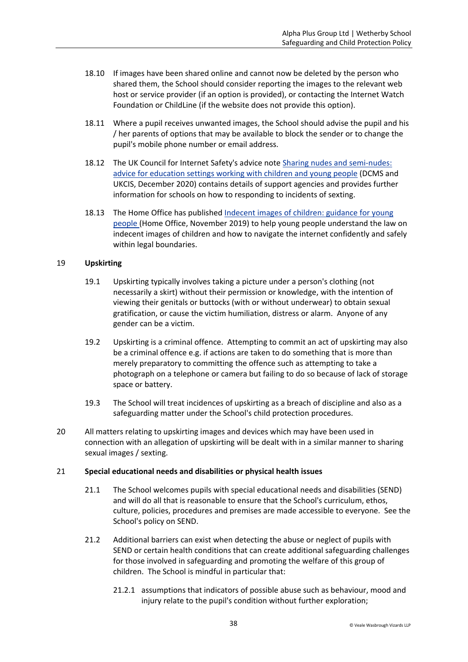- 18.10 If images have been shared online and cannot now be deleted by the person who shared them, the School should consider reporting the images to the relevant web host or service provider (if an option is provided), or contacting the Internet Watch Foundation or ChildLine (if the website does not provide this option).
- 18.11 Where a pupil receives unwanted images, the School should advise the pupil and his / her parents of options that may be available to block the sender or to change the pupil's mobile phone number or email address.
- 18.12 The UK Council for Internet Safety's advice not[e Sharing nudes and semi-nudes:](https://www.gov.uk/government/publications/sharing-nudes-and-semi-nudes-advice-for-education-settings-working-with-children-and-young-people/sharing-nudes-and-semi-nudes-advice-for-education-settings-working-with-children-and-young-people)  [advice for education settings working with children and young people](https://www.gov.uk/government/publications/sharing-nudes-and-semi-nudes-advice-for-education-settings-working-with-children-and-young-people/sharing-nudes-and-semi-nudes-advice-for-education-settings-working-with-children-and-young-people) (DCMS and UKCIS, December 2020) contains details of support agencies and provides further information for schools on how to responding to incidents of sexting.
- 18.13 The Home Office has publishe[d Indecent images of children: guidance for young](https://www.gov.uk/government/publications/indecent-images-of-children-guidance-for-young-people/indecent-images-of-children-guidance-for-young-people)  [people \(](https://www.gov.uk/government/publications/indecent-images-of-children-guidance-for-young-people/indecent-images-of-children-guidance-for-young-people)Home Office, November 2019) to help young people understand the law on indecent images of children and how to navigate the internet confidently and safely within legal boundaries.

## 19 **Upskirting**

- 19.1 Upskirting typically involves taking a picture under a person's clothing (not necessarily a skirt) without their permission or knowledge, with the intention of viewing their genitals or buttocks (with or without underwear) to obtain sexual gratification, or cause the victim humiliation, distress or alarm. Anyone of any gender can be a victim.
- 19.2 Upskirting is a criminal offence. Attempting to commit an act of upskirting may also be a criminal offence e.g. if actions are taken to do something that is more than merely preparatory to committing the offence such as attempting to take a photograph on a telephone or camera but failing to do so because of lack of storage space or battery.
- 19.3 The School will treat incidences of upskirting as a breach of discipline and also as a safeguarding matter under the School's child protection procedures.
- 20 All matters relating to upskirting images and devices which may have been used in connection with an allegation of upskirting will be dealt with in a similar manner to sharing sexual images / sexting.

#### 21 **Special educational needs and disabilities or physical health issues**

- 21.1 The School welcomes pupils with special educational needs and disabilities (SEND) and will do all that is reasonable to ensure that the School's curriculum, ethos, culture, policies, procedures and premises are made accessible to everyone. See the School's policy on SEND.
- 21.2 Additional barriers can exist when detecting the abuse or neglect of pupils with SEND or certain health conditions that can create additional safeguarding challenges for those involved in safeguarding and promoting the welfare of this group of children. The School is mindful in particular that:
	- 21.2.1 assumptions that indicators of possible abuse such as behaviour, mood and injury relate to the pupil's condition without further exploration;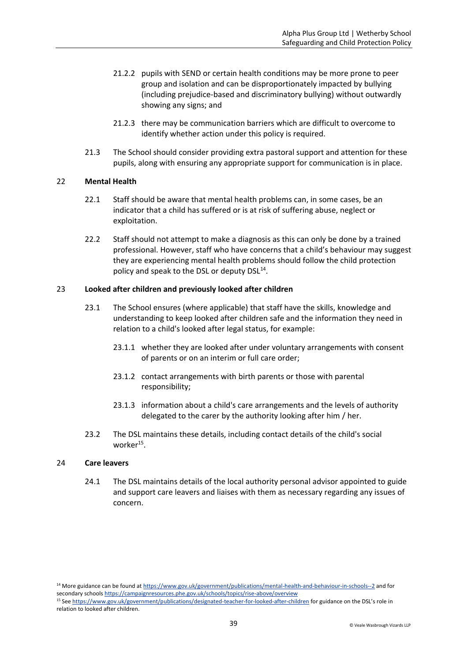- 21.2.2 pupils with SEND or certain health conditions may be more prone to peer group and isolation and can be disproportionately impacted by bullying (including prejudice-based and discriminatory bullying) without outwardly showing any signs; and
- 21.2.3 there may be communication barriers which are difficult to overcome to identify whether action under this policy is required.
- 21.3 The School should consider providing extra pastoral support and attention for these pupils, along with ensuring any appropriate support for communication is in place.

#### 22 **Mental Health**

- 22.1 Staff should be aware that mental health problems can, in some cases, be an indicator that a child has suffered or is at risk of suffering abuse, neglect or exploitation.
- 22.2 Staff should not attempt to make a diagnosis as this can only be done by a trained professional. However, staff who have concerns that a child's behaviour may suggest they are experiencing mental health problems should follow the child protection policy and speak to the DSL or deputy  $DSL^{14}$ .

## 23 **Looked after children and previously looked after children**

- 23.1 The School ensures (where applicable) that staff have the skills, knowledge and understanding to keep looked after children safe and the information they need in relation to a child's looked after legal status, for example:
	- 23.1.1 whether they are looked after under voluntary arrangements with consent of parents or on an interim or full care order;
	- 23.1.2 contact arrangements with birth parents or those with parental responsibility;
	- 23.1.3 information about a child's care arrangements and the levels of authority delegated to the carer by the authority looking after him / her.
- 23.2 The DSL maintains these details, including contact details of the child's social worker<sup>15</sup>.

#### 24 **Care leavers**

24.1 The DSL maintains details of the local authority personal advisor appointed to guide and support care leavers and liaises with them as necessary regarding any issues of concern.

<sup>14</sup> More guidance can be found a[t https://www.gov.uk/government/publications/mental-health-and-behaviour-in-schools--2](https://www.gov.uk/government/publications/mental-health-and-behaviour-in-schools--2) and for secondary school[s https://campaignresources.phe.gov.uk/schools/topics/rise-above/overview](https://campaignresources.phe.gov.uk/schools/topics/rise-above/overview) <sup>15</sup> Se[e https://www.gov.uk/government/publications/designated-teacher-for-looked-after-children](https://www.gov.uk/government/publications/designated-teacher-for-looked-after-children) for guidance on the DSL's role in relation to looked after children.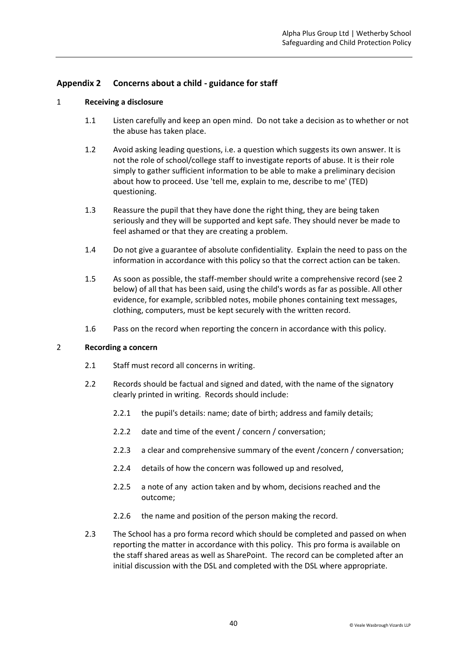## <span id="page-39-0"></span>**Appendix 2 Concerns about a child - guidance for staff**

#### 1 **Receiving a disclosure**

- 1.1 Listen carefully and keep an open mind. Do not take a decision as to whether or not the abuse has taken place.
- 1.2 Avoid asking leading questions, i.e. a question which suggests its own answer. It is not the role of school/college staff to investigate reports of abuse. It is their role simply to gather sufficient information to be able to make a preliminary decision about how to proceed. Use 'tell me, explain to me, describe to me' (TED) questioning.
- 1.3 Reassure the pupil that they have done the right thing, they are being taken seriously and they will be supported and kept safe. They should never be made to feel ashamed or that they are creating a problem.
- 1.4 Do not give a guarantee of absolute confidentiality. Explain the need to pass on the information in accordance with this policy so that the correct action can be taken.
- 1.5 As soon as possible, the staff-member should write a comprehensive record (se[e 2](#page-39-1) below) of all that has been said, using the child's words as far as possible. All other evidence, for example, scribbled notes, mobile phones containing text messages, clothing, computers, must be kept securely with the written record.
- 1.6 Pass on the record when reporting the concern in accordance with this policy.

#### <span id="page-39-1"></span>2 **Recording a concern**

- 2.1 Staff must record all concerns in writing.
- 2.2 Records should be factual and signed and dated, with the name of the signatory clearly printed in writing. Records should include:
	- 2.2.1 the pupil's details: name; date of birth; address and family details;
	- 2.2.2 date and time of the event / concern / conversation;
	- 2.2.3 a clear and comprehensive summary of the event /concern / conversation;
	- 2.2.4 details of how the concern was followed up and resolved,
	- 2.2.5 a note of any action taken and by whom, decisions reached and the outcome;
	- 2.2.6 the name and position of the person making the record.
- 2.3 The School has a pro forma record which should be completed and passed on when reporting the matter in accordance with this policy. This pro forma is available on the staff shared areas as well as SharePoint. The record can be completed after an initial discussion with the DSL and completed with the DSL where appropriate.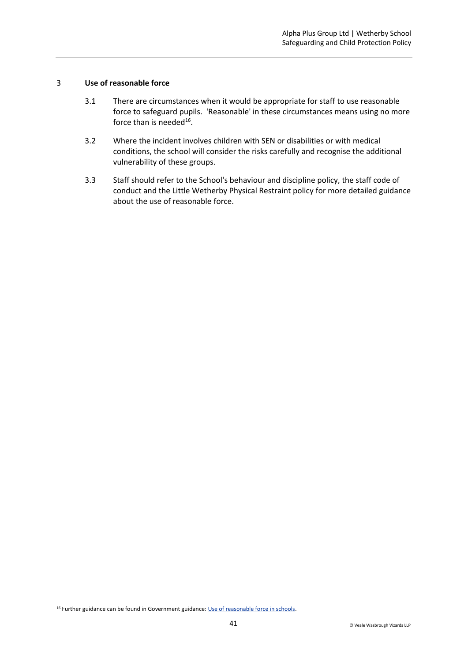## 3 **Use of reasonable force**

- 3.1 There are circumstances when it would be appropriate for staff to use reasonable force to safeguard pupils. 'Reasonable' in these circumstances means using no more force than is needed<sup>16</sup>.
- 3.2 Where the incident involves children with SEN or disabilities or with medical conditions, the school will consider the risks carefully and recognise the additional vulnerability of these groups.
- 3.3 Staff should refer to the School's behaviour and discipline policy, the staff code of conduct and the Little Wetherby Physical Restraint policy for more detailed guidance about the use of reasonable force.

<sup>&</sup>lt;sup>16</sup> Further guidance can be found in Government guidance[: Use of reasonable force in schools.](https://www.gov.uk/government/publications/use-of-reasonable-force-in-schools)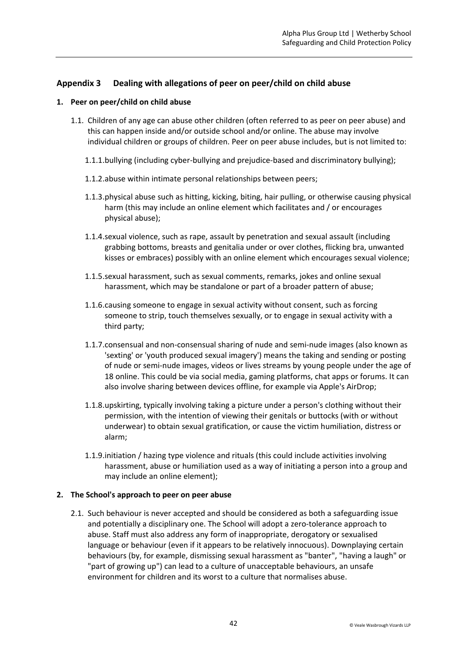## <span id="page-41-0"></span>**Appendix 3 Dealing with allegations of peer on peer/child on child abuse**

#### **1. Peer on peer/child on child abuse**

- 1.1. Children of any age can abuse other children (often referred to as peer on peer abuse) and this can happen inside and/or outside school and/or online. The abuse may involve individual children or groups of children. Peer on peer abuse includes, but is not limited to:
	- 1.1.1.bullying (including cyber-bullying and prejudice-based and discriminatory bullying);
	- 1.1.2.abuse within intimate personal relationships between peers;
	- 1.1.3.physical abuse such as hitting, kicking, biting, hair pulling, or otherwise causing physical harm (this may include an online element which facilitates and / or encourages physical abuse);
	- 1.1.4.sexual violence, such as rape, assault by penetration and sexual assault (including grabbing bottoms, breasts and genitalia under or over clothes, flicking bra, unwanted kisses or embraces) possibly with an online element which encourages sexual violence;
	- 1.1.5.sexual harassment, such as sexual comments, remarks, jokes and online sexual harassment, which may be standalone or part of a broader pattern of abuse;
	- 1.1.6.causing someone to engage in sexual activity without consent, such as forcing someone to strip, touch themselves sexually, or to engage in sexual activity with a third party;
	- 1.1.7.consensual and non-consensual sharing of nude and semi-nude images (also known as 'sexting' or 'youth produced sexual imagery') means the taking and sending or posting of nude or semi-nude images, videos or lives streams by young people under the age of 18 online. This could be via social media, gaming platforms, chat apps or forums. It can also involve sharing between devices offline, for example via Apple's AirDrop;
	- 1.1.8.upskirting, typically involving taking a picture under a person's clothing without their permission, with the intention of viewing their genitals or buttocks (with or without underwear) to obtain sexual gratification, or cause the victim humiliation, distress or alarm;
	- 1.1.9.initiation / hazing type violence and rituals (this could include activities involving harassment, abuse or humiliation used as a way of initiating a person into a group and may include an online element);

#### **2. The School's approach to peer on peer abuse**

2.1. Such behaviour is never accepted and should be considered as both a safeguarding issue and potentially a disciplinary one. The School will adopt a zero-tolerance approach to abuse. Staff must also address any form of inappropriate, derogatory or sexualised language or behaviour (even if it appears to be relatively innocuous). Downplaying certain behaviours (by, for example, dismissing sexual harassment as "banter", "having a laugh" or "part of growing up") can lead to a culture of unacceptable behaviours, an unsafe environment for children and its worst to a culture that normalises abuse.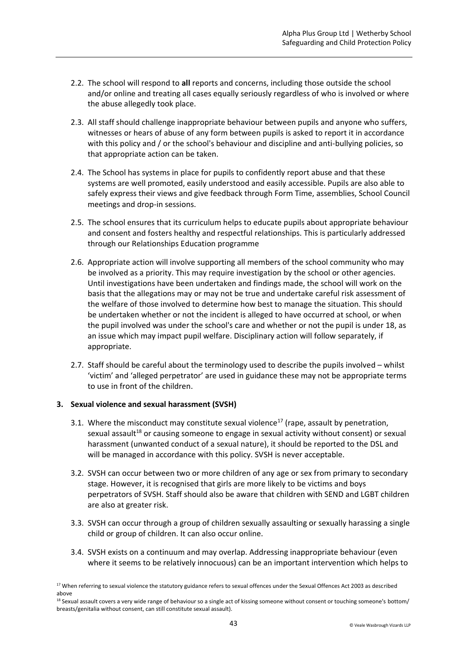- 2.2. The school will respond to **all** reports and concerns, including those outside the school and/or online and treating all cases equally seriously regardless of who is involved or where the abuse allegedly took place.
- 2.3. All staff should challenge inappropriate behaviour between pupils and anyone who suffers, witnesses or hears of abuse of any form between pupils is asked to report it in accordance with this policy and / or the school's behaviour and discipline and anti-bullying policies, so that appropriate action can be taken.
- 2.4. The School has systems in place for pupils to confidently report abuse and that these systems are well promoted, easily understood and easily accessible. Pupils are also able to safely express their views and give feedback through Form Time, assemblies, School Council meetings and drop-in sessions.
- 2.5. The school ensures that its curriculum helps to educate pupils about appropriate behaviour and consent and fosters healthy and respectful relationships. This is particularly addressed through our Relationships Education programme
- 2.6. Appropriate action will involve supporting all members of the school community who may be involved as a priority. This may require investigation by the school or other agencies. Until investigations have been undertaken and findings made, the school will work on the basis that the allegations may or may not be true and undertake careful risk assessment of the welfare of those involved to determine how best to manage the situation. This should be undertaken whether or not the incident is alleged to have occurred at school, or when the pupil involved was under the school's care and whether or not the pupil is under 18, as an issue which may impact pupil welfare. Disciplinary action will follow separately, if appropriate.
- 2.7. Staff should be careful about the terminology used to describe the pupils involved whilst 'victim' and 'alleged perpetrator' are used in guidance these may not be appropriate terms to use in front of the children.

#### **3. Sexual violence and sexual harassment (SVSH)**

- 3.1. Where the misconduct may constitute sexual violence<sup>17</sup> (rape, assault by penetration, sexual assault<sup>18</sup> or causing someone to engage in sexual activity without consent) or sexual harassment (unwanted conduct of a sexual nature), it should be reported to the DSL and will be managed in accordance with this policy. SVSH is never acceptable.
- 3.2. SVSH can occur between two or more children of any age or sex from primary to secondary stage. However, it is recognised that girls are more likely to be victims and boys perpetrators of SVSH. Staff should also be aware that children with SEND and LGBT children are also at greater risk.
- 3.3. SVSH can occur through a group of children sexually assaulting or sexually harassing a single child or group of children. It can also occur online.
- 3.4. SVSH exists on a continuum and may overlap. Addressing inappropriate behaviour (even where it seems to be relatively innocuous) can be an important intervention which helps to

<sup>&</sup>lt;sup>17</sup> When referring to sexual violence the statutory guidance refers to sexual offences under the Sexual Offences Act 2003 as described above

<sup>18</sup> Sexual assault covers a very wide range of behaviour so a single act of kissing someone without consent or touching someone's bottom/ breasts/genitalia without consent, can still constitute sexual assault).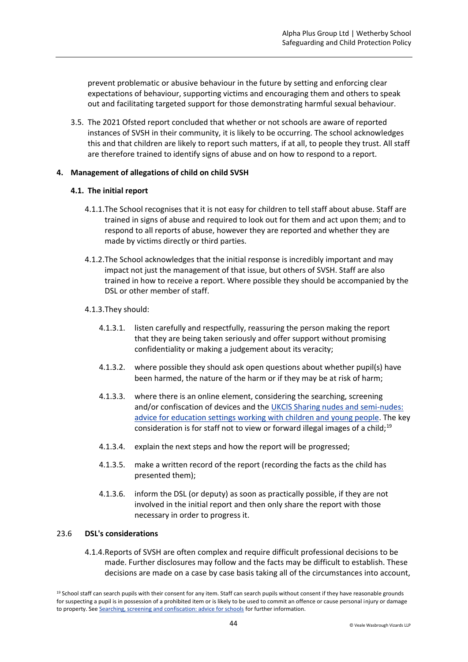prevent problematic or abusive behaviour in the future by setting and enforcing clear expectations of behaviour, supporting victims and encouraging them and others to speak out and facilitating targeted support for those demonstrating harmful sexual behaviour.

3.5. The 2021 Ofsted report concluded that whether or not schools are aware of reported instances of SVSH in their community, it is likely to be occurring. The school acknowledges this and that children are likely to report such matters, if at all, to people they trust. All staff are therefore trained to identify signs of abuse and on how to respond to a report.

#### **4. Management of allegations of child on child SVSH**

#### **4.1. The initial report**

- 4.1.1.The School recognises that it is not easy for children to tell staff about abuse. Staff are trained in signs of abuse and required to look out for them and act upon them; and to respond to all reports of abuse, however they are reported and whether they are made by victims directly or third parties.
- 4.1.2.The School acknowledges that the initial response is incredibly important and may impact not just the management of that issue, but others of SVSH. Staff are also trained in how to receive a report. Where possible they should be accompanied by the DSL or other member of staff.
- 4.1.3.They should:
	- 4.1.3.1. listen carefully and respectfully, reassuring the person making the report that they are being taken seriously and offer support without promising confidentiality or making a judgement about its veracity;
	- 4.1.3.2. where possible they should ask open questions about whether pupil(s) have been harmed, the nature of the harm or if they may be at risk of harm;
	- 4.1.3.3. where there is an online element, considering the searching, screening and/or confiscation of devices and the UKCIS Sharing nudes and semi-nudes: [advice for education settings working with children and young people.](https://www.gov.uk/government/publications/sharing-nudes-and-semi-nudes-advice-for-education-settings-working-with-children-and-young-people) The key consideration is for staff not to view or forward illegal images of a child;<sup>19</sup>
	- 4.1.3.4. explain the next steps and how the report will be progressed;
	- 4.1.3.5. make a written record of the report (recording the facts as the child has presented them);
	- 4.1.3.6. inform the DSL (or deputy) as soon as practically possible, if they are not involved in the initial report and then only share the report with those necessary in order to progress it.

#### 23.6 **DSL's considerations**

4.1.4.Reports of SVSH are often complex and require difficult professional decisions to be made. Further disclosures may follow and the facts may be difficult to establish. These decisions are made on a case by case basis taking all of the circumstances into account,

<sup>&</sup>lt;sup>19</sup> School staff can search pupils with their consent for any item. Staff can search pupils without consent if they have reasonable grounds for suspecting a pupil is in possession of a prohibited item or is likely to be used to commit an offence or cause personal injury or damage to property. Se[e Searching, screening and confiscation: advice for schools](https://assets.publishing.service.gov.uk/government/uploads/system/uploads/attachment_data/file/674416/Searching_screening_and_confiscation.pdf) for further information.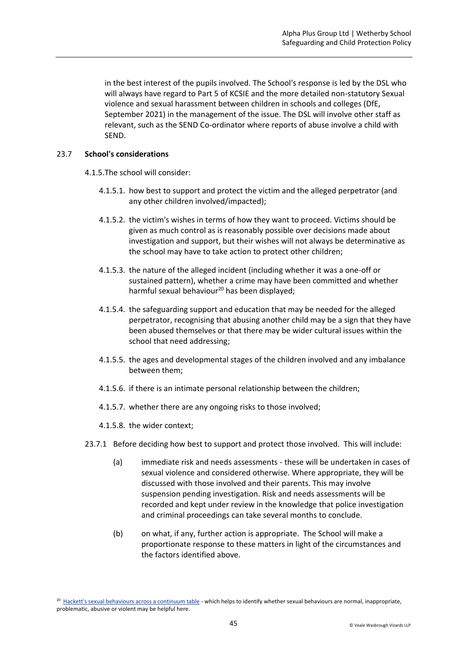in the best interest of the pupils involved. The School's response is led by the DSL who will always have regard to Part 5 of KCSIE and the more detailed non-statutory Sexual violence and sexual harassment between children in schools and colleges (DfE, September 2021) in the management of the issue. The DSL will involve other staff as relevant, such as the SEND Co-ordinator where reports of abuse involve a child with SEND.

#### 23.7 **School's considerations**

- 4.1.5.The school will consider:
	- 4.1.5.1. how best to support and protect the victim and the alleged perpetrator (and any other children involved/impacted);
	- 4.1.5.2. the victim's wishes in terms of how they want to proceed. Victims should be given as much control as is reasonably possible over decisions made about investigation and support, but their wishes will not always be determinative as the school may have to take action to protect other children;
	- 4.1.5.3. the nature of the alleged incident (including whether it was a one-off or sustained pattern), whether a crime may have been committed and whether harmful sexual behaviour<sup>20</sup> has been displayed;
	- 4.1.5.4. the safeguarding support and education that may be needed for the alleged perpetrator, recognising that abusing another child may be a sign that they have been abused themselves or that there may be wider cultural issues within the school that need addressing;
	- 4.1.5.5. the ages and developmental stages of the children involved and any imbalance between them;
	- 4.1.5.6. if there is an intimate personal relationship between the children;
	- 4.1.5.7. whether there are any ongoing risks to those involved;
	- 4.1.5.8. the wider context;
- 23.7.1 Before deciding how best to support and protect those involved. This will include:
	- (a) immediate risk and needs assessments these will be undertaken in cases of sexual violence and considered otherwise. Where appropriate, they will be discussed with those involved and their parents. This may involve suspension pending investigation. Risk and needs assessments will be recorded and kept under review in the knowledge that police investigation and criminal proceedings can take several months to conclude.
	- (b) on what, if any, further action is appropriate. The School will make a proportionate response to these matters in light of the circumstances and the factors identified above.

<sup>&</sup>lt;sup>20</sup> [Hackett's sexual behaviours across a continuum table](https://www.icmec.org/wp-content/uploads/2019/07/Hackett-Continuum-of-Harmful-Behavior-Excerpted.pdf) - which helps to identify whether sexual behaviours are normal, inappropriate, problematic, abusive or violent may be helpful here.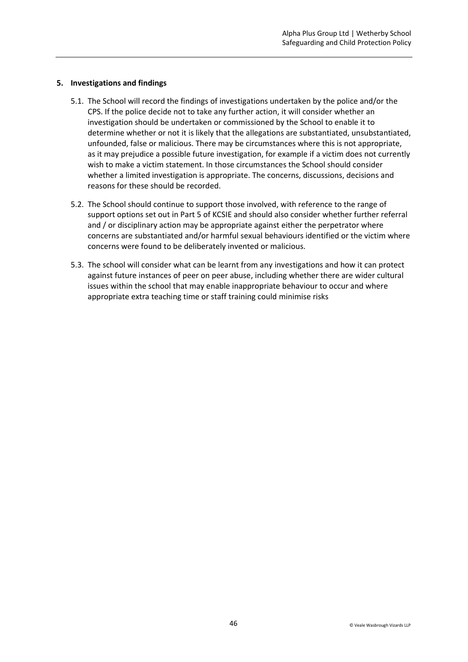#### **5. Investigations and findings**

- 5.1. The School will record the findings of investigations undertaken by the police and/or the CPS. If the police decide not to take any further action, it will consider whether an investigation should be undertaken or commissioned by the School to enable it to determine whether or not it is likely that the allegations are substantiated, unsubstantiated, unfounded, false or malicious. There may be circumstances where this is not appropriate, as it may prejudice a possible future investigation, for example if a victim does not currently wish to make a victim statement. In those circumstances the School should consider whether a limited investigation is appropriate. The concerns, discussions, decisions and reasons for these should be recorded.
- 5.2. The School should continue to support those involved, with reference to the range of support options set out in Part 5 of KCSIE and should also consider whether further referral and / or disciplinary action may be appropriate against either the perpetrator where concerns are substantiated and/or harmful sexual behaviours identified or the victim where concerns were found to be deliberately invented or malicious.
- 5.3. The school will consider what can be learnt from any investigations and how it can protect against future instances of peer on peer abuse, including whether there are wider cultural issues within the school that may enable inappropriate behaviour to occur and where appropriate extra teaching time or staff training could minimise risks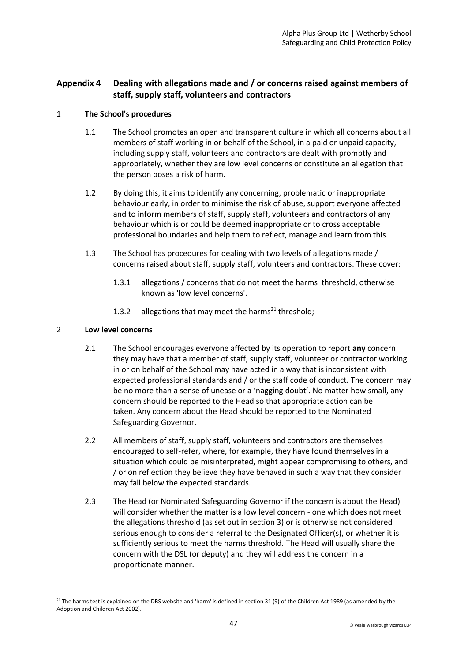## <span id="page-46-0"></span>**Appendix 4 Dealing with allegations made and / or concerns raised against members of staff, supply staff, volunteers and contractors**

#### <span id="page-46-1"></span>1 **The School's procedures**

- 1.1 The School promotes an open and transparent culture in which all concerns about all members of staff working in or behalf of the School, in a paid or unpaid capacity, including supply staff, volunteers and contractors are dealt with promptly and appropriately, whether they are low level concerns or constitute an allegation that the person poses a risk of harm.
- 1.2 By doing this, it aims to identify any concerning, problematic or inappropriate behaviour early, in order to minimise the risk of abuse, support everyone affected and to inform members of staff, supply staff, volunteers and contractors of any behaviour which is or could be deemed inappropriate or to cross acceptable professional boundaries and help them to reflect, manage and learn from this.
- 1.3 The School has procedures for dealing with two levels of allegations made / concerns raised about staff, supply staff, volunteers and contractors. These cover:
	- 1.3.1 allegations / concerns that do not meet the harms threshold, otherwise known as 'low level concerns'.
	- 1.3.2 allegations that may meet the harms<sup>21</sup> threshold;

#### 2 **Low level concerns**

- 2.1 The School encourages everyone affected by its operation to report **any** concern they may have that a member of staff, supply staff, volunteer or contractor working in or on behalf of the School may have acted in a way that is inconsistent with expected professional standards and / or the staff code of conduct. The concern may be no more than a sense of unease or a 'nagging doubt'. No matter how small, any concern should be reported to the Head so that appropriate action can be taken. Any concern about the Head should be reported to the Nominated Safeguarding Governor.
- 2.2 All members of staff, supply staff, volunteers and contractors are themselves encouraged to self-refer, where, for example, they have found themselves in a situation which could be misinterpreted, might appear compromising to others, and / or on reflection they believe they have behaved in such a way that they consider may fall below the expected standards.
- 2.3 The Head (or Nominated Safeguarding Governor if the concern is about the Head) will consider whether the matter is a low level concern - one which does not meet the allegations threshold (as set out in section 3) or is otherwise not considered serious enough to consider a referral to the Designated Officer(s), or whether it is sufficiently serious to meet the harms threshold. The Head will usually share the concern with the DSL (or deputy) and they will address the concern in a proportionate manner.

<sup>21</sup> The harms test is explained on the DBS website and 'harm' is defined in section 31 (9) of the Children Act 1989 (as amended by the Adoption and Children Act 2002).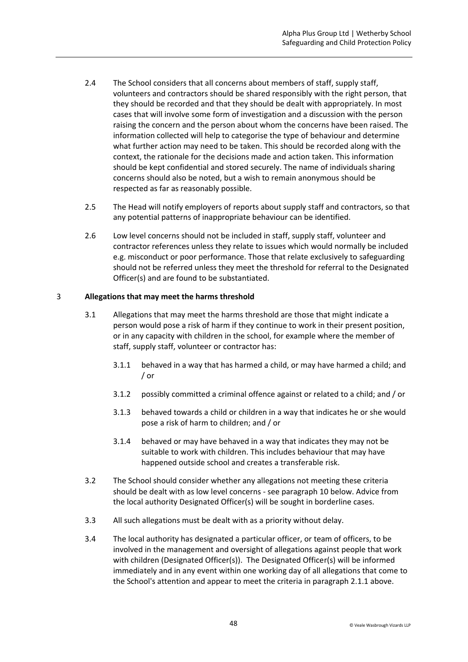- 2.4 The School considers that all concerns about members of staff, supply staff, volunteers and contractors should be shared responsibly with the right person, that they should be recorded and that they should be dealt with appropriately. In most cases that will involve some form of investigation and a discussion with the person raising the concern and the person about whom the concerns have been raised. The information collected will help to categorise the type of behaviour and determine what further action may need to be taken. This should be recorded along with the context, the rationale for the decisions made and action taken. This information should be kept confidential and stored securely. The name of individuals sharing concerns should also be noted, but a wish to remain anonymous should be respected as far as reasonably possible.
- 2.5 The Head will notify employers of reports about supply staff and contractors, so that any potential patterns of inappropriate behaviour can be identified.
- 2.6 Low level concerns should not be included in staff, supply staff, volunteer and contractor references unless they relate to issues which would normally be included e.g. misconduct or poor performance. Those that relate exclusively to safeguarding should not be referred unless they meet the threshold for referral to the Designated Officer(s) and are found to be substantiated.

## 3 **Allegations that may meet the harms threshold**

- 3.1 Allegations that may meet the harms threshold are those that might indicate a person would pose a risk of harm if they continue to work in their present position, or in any capacity with children in the school, for example where the member of staff, supply staff, volunteer or contractor has:
	- 3.1.1 behaved in a way that has harmed a child, or may have harmed a child; and / or
	- 3.1.2 possibly committed a criminal offence against or related to a child; and / or
	- 3.1.3 behaved towards a child or children in a way that indicates he or she would pose a risk of harm to children; and / or
	- 3.1.4 behaved or may have behaved in a way that indicates they may not be suitable to work with children. This includes behaviour that may have happened outside school and creates a transferable risk.
- 3.2 The School should consider whether any allegations not meeting these criteria should be dealt with as low level concerns - see paragraph 10 below. Advice from the local authority Designated Officer(s) will be sought in borderline cases.
- 3.3 All such allegations must be dealt with as a priority without delay.
- 3.4 The local authority has designated a particular officer, or team of officers, to be involved in the management and oversight of allegations against people that work with children (Designated Officer(s)). The Designated Officer(s) will be informed immediately and in any event within one working day of all allegations that come to the School's attention and appear to meet the criteria in paragraph 2[.1.1](#page-46-1) above.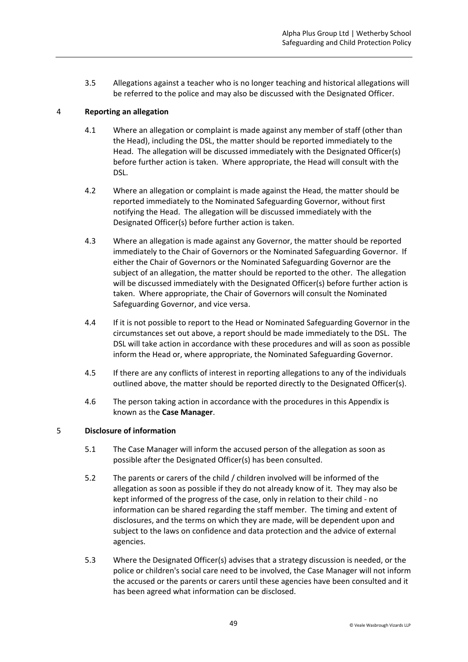3.5 Allegations against a teacher who is no longer teaching and historical allegations will be referred to the police and may also be discussed with the Designated Officer.

## 4 **Reporting an allegation**

- 4.1 Where an allegation or complaint is made against any member of staff (other than the Head), including the DSL, the matter should be reported immediately to the Head. The allegation will be discussed immediately with the Designated Officer(s) before further action is taken. Where appropriate, the Head will consult with the DSL.
- 4.2 Where an allegation or complaint is made against the Head, the matter should be reported immediately to the Nominated Safeguarding Governor, without first notifying the Head. The allegation will be discussed immediately with the Designated Officer(s) before further action is taken.
- 4.3 Where an allegation is made against any Governor, the matter should be reported immediately to the Chair of Governors or the Nominated Safeguarding Governor. If either the Chair of Governors or the Nominated Safeguarding Governor are the subject of an allegation, the matter should be reported to the other. The allegation will be discussed immediately with the Designated Officer(s) before further action is taken. Where appropriate, the Chair of Governors will consult the Nominated Safeguarding Governor, and vice versa.
- 4.4 If it is not possible to report to the Head or Nominated Safeguarding Governor in the circumstances set out above, a report should be made immediately to the DSL. The DSL will take action in accordance with these procedures and will as soon as possible inform the Head or, where appropriate, the Nominated Safeguarding Governor.
- 4.5 If there are any conflicts of interest in reporting allegations to any of the individuals outlined above, the matter should be reported directly to the Designated Officer(s).
- 4.6 The person taking action in accordance with the procedures in this Appendix is known as the **Case Manager**.

#### 5 **Disclosure of information**

- 5.1 The Case Manager will inform the accused person of the allegation as soon as possible after the Designated Officer(s) has been consulted.
- 5.2 The parents or carers of the child / children involved will be informed of the allegation as soon as possible if they do not already know of it. They may also be kept informed of the progress of the case, only in relation to their child - no information can be shared regarding the staff member. The timing and extent of disclosures, and the terms on which they are made, will be dependent upon and subject to the laws on confidence and data protection and the advice of external agencies.
- 5.3 Where the Designated Officer(s) advises that a strategy discussion is needed, or the police or children's social care need to be involved, the Case Manager will not inform the accused or the parents or carers until these agencies have been consulted and it has been agreed what information can be disclosed.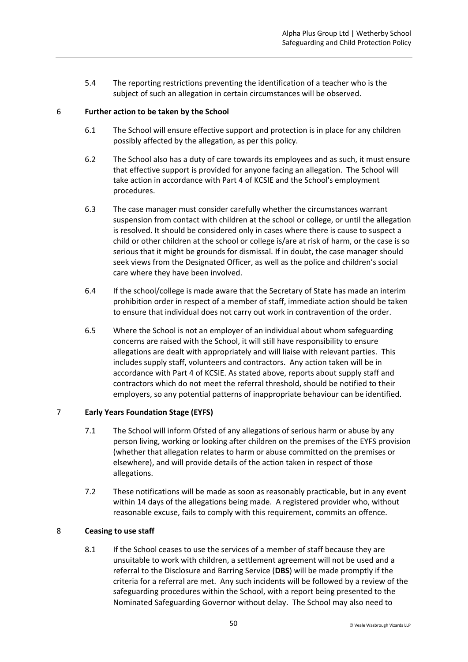5.4 The reporting restrictions preventing the identification of a teacher who is the subject of such an allegation in certain circumstances will be observed.

#### 6 **Further action to be taken by the School**

- 6.1 The School will ensure effective support and protection is in place for any children possibly affected by the allegation, as per this policy.
- 6.2 The School also has a duty of care towards its employees and as such, it must ensure that effective support is provided for anyone facing an allegation. The School will take action in accordance with Part 4 of KCSIE and the School's employment procedures.
- 6.3 The case manager must consider carefully whether the circumstances warrant suspension from contact with children at the school or college, or until the allegation is resolved. It should be considered only in cases where there is cause to suspect a child or other children at the school or college is/are at risk of harm, or the case is so serious that it might be grounds for dismissal. If in doubt, the case manager should seek views from the Designated Officer, as well as the police and children's social care where they have been involved.
- 6.4 If the school/college is made aware that the Secretary of State has made an interim prohibition order in respect of a member of staff, immediate action should be taken to ensure that individual does not carry out work in contravention of the order.
- 6.5 Where the School is not an employer of an individual about whom safeguarding concerns are raised with the School, it will still have responsibility to ensure allegations are dealt with appropriately and will liaise with relevant parties. This includes supply staff, volunteers and contractors. Any action taken will be in accordance with Part 4 of KCSIE. As stated above, reports about supply staff and contractors which do not meet the referral threshold, should be notified to their employers, so any potential patterns of inappropriate behaviour can be identified.

## <span id="page-49-1"></span>7 **Early Years Foundation Stage (EYFS)**

- 7.1 The School will inform Ofsted of any allegations of serious harm or abuse by any person living, working or looking after children on the premises of the EYFS provision (whether that allegation relates to harm or abuse committed on the premises or elsewhere), and will provide details of the action taken in respect of those allegations.
- 7.2 These notifications will be made as soon as reasonably practicable, but in any event within 14 days of the allegations being made. A registered provider who, without reasonable excuse, fails to comply with this requirement, commits an offence.

## <span id="page-49-0"></span>8 **Ceasing to use staff**

8.1 If the School ceases to use the services of a member of staff because they are unsuitable to work with children, a settlement agreement will not be used and a referral to the Disclosure and Barring Service (**DBS**) will be made promptly if the criteria for a referral are met. Any such incidents will be followed by a review of the safeguarding procedures within the School, with a report being presented to the Nominated Safeguarding Governor without delay. The School may also need to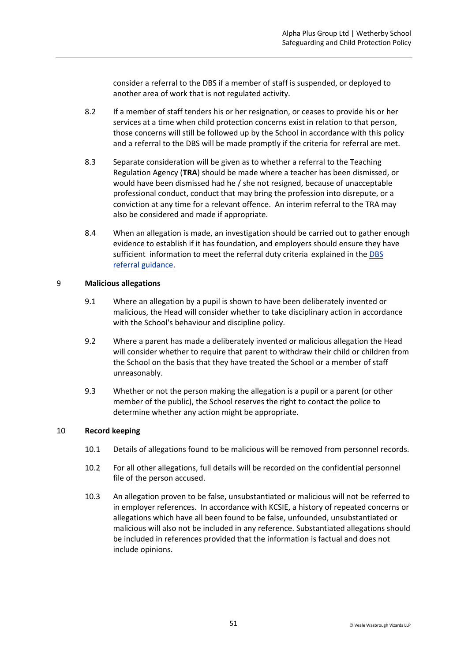consider a referral to the DBS if a member of staff is suspended, or deployed to another area of work that is not regulated activity.

- <span id="page-50-0"></span>8.2 If a member of staff tenders his or her resignation, or ceases to provide his or her services at a time when child protection concerns exist in relation to that person, those concerns will still be followed up by the School in accordance with this policy and a referral to the DBS will be made promptly if the criteria for referral are met.
- <span id="page-50-1"></span>8.3 Separate consideration will be given as to whether a referral to the Teaching Regulation Agency (**TRA**) should be made where a teacher has been dismissed, or would have been dismissed had he / she not resigned, because of unacceptable professional conduct, conduct that may bring the profession into disrepute, or a conviction at any time for a relevant offence. An interim referral to the TRA may also be considered and made if appropriate.
- 8.4 When an allegation is made, an investigation should be carried out to gather enough evidence to establish if it has foundation, and employers should ensure they have sufficient information to meet the referral duty criteria explained in the DBS [referral guidance.](https://www.gov.uk/guidance/making-barring-referrals-to-the-dbs)

#### 9 **Malicious allegations**

- 9.1 Where an allegation by a pupil is shown to have been deliberately invented or malicious, the Head will consider whether to take disciplinary action in accordance with the School's behaviour and discipline policy.
- 9.2 Where a parent has made a deliberately invented or malicious allegation the Head will consider whether to require that parent to withdraw their child or children from the School on the basis that they have treated the School or a member of staff unreasonably.
- 9.3 Whether or not the person making the allegation is a pupil or a parent (or other member of the public), the School reserves the right to contact the police to determine whether any action might be appropriate.

#### 10 **Record keeping**

- 10.1 Details of allegations found to be malicious will be removed from personnel records.
- 10.2 For all other allegations, full details will be recorded on the confidential personnel file of the person accused.
- 10.3 An allegation proven to be false, unsubstantiated or malicious will not be referred to in employer references. In accordance with KCSIE, a history of repeated concerns or allegations which have all been found to be false, unfounded, unsubstantiated or malicious will also not be included in any reference. Substantiated allegations should be included in references provided that the information is factual and does not include opinions.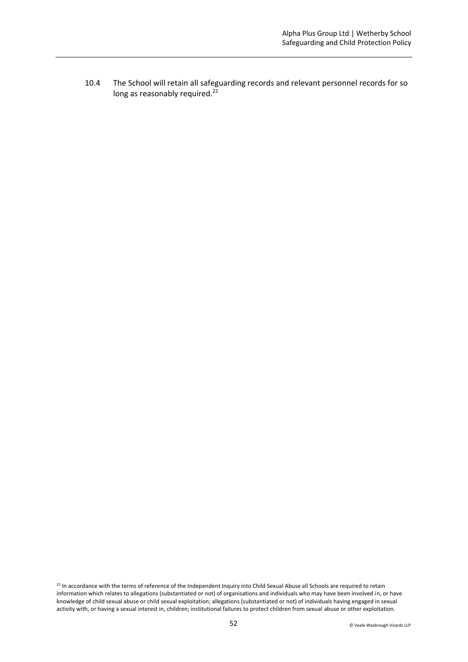10.4 The School will retain all safeguarding records and relevant personnel records for so long as reasonably required.<sup>22</sup>

<sup>&</sup>lt;sup>22</sup> In accordance with the terms of reference of the Independent Inquiry into Child Sexual Abuse all Schools are required to retain information which relates to allegations (substantiated or not) of organisations and individuals who may have been involved in, or have knowledge of child sexual abuse or child sexual exploitation; allegations (substantiated or not) of individuals having engaged in sexual activity with, or having a sexual interest in, children; institutional failures to protect children from sexual abuse or other exploitation.